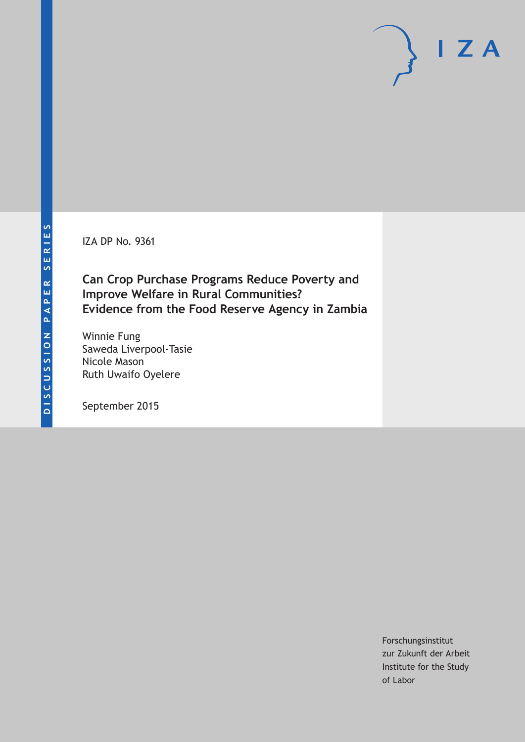IZA DP No. 9361

## **Can Crop Purchase Programs Reduce Poverty and Improve Welfare in Rural Communities? Evidence from the Food Reserve Agency in Zambia**

Winnie Fung Saweda Liverpool-Tasie Nicole Mason Ruth Uwaifo Oyelere

September 2015

Forschungsinstitut zur Zukunft der Arbeit Institute for the Study of Labor

 $I Z A$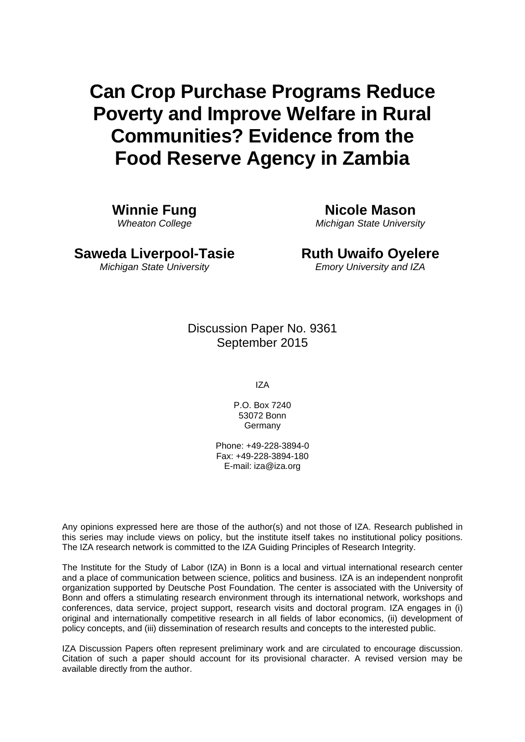# **Can Crop Purchase Programs Reduce Poverty and Improve Welfare in Rural Communities? Evidence from the Food Reserve Agency in Zambia**

**Winnie Fung**  *Wheaton College* 

**Nicole Mason**  *Michigan State University*

**Saweda Liverpool-Tasie**  *Michigan State University* 

**Ruth Uwaifo Oyelere**  *Emory University and IZA*

Discussion Paper No. 9361 September 2015

IZA

P.O. Box 7240 53072 Bonn **Germany** 

Phone: +49-228-3894-0 Fax: +49-228-3894-180 E-mail: iza@iza.org

Any opinions expressed here are those of the author(s) and not those of IZA. Research published in this series may include views on policy, but the institute itself takes no institutional policy positions. The IZA research network is committed to the IZA Guiding Principles of Research Integrity.

The Institute for the Study of Labor (IZA) in Bonn is a local and virtual international research center and a place of communication between science, politics and business. IZA is an independent nonprofit organization supported by Deutsche Post Foundation. The center is associated with the University of Bonn and offers a stimulating research environment through its international network, workshops and conferences, data service, project support, research visits and doctoral program. IZA engages in (i) original and internationally competitive research in all fields of labor economics, (ii) development of policy concepts, and (iii) dissemination of research results and concepts to the interested public.

IZA Discussion Papers often represent preliminary work and are circulated to encourage discussion. Citation of such a paper should account for its provisional character. A revised version may be available directly from the author.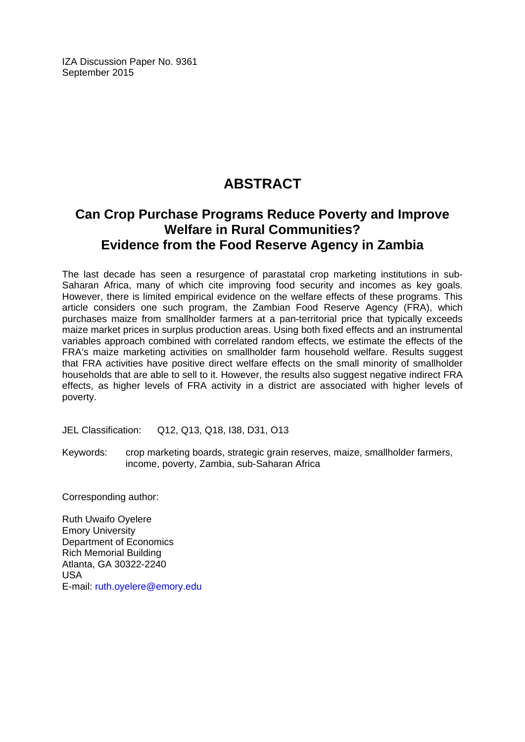IZA Discussion Paper No. 9361 September 2015

# **ABSTRACT**

### **Can Crop Purchase Programs Reduce Poverty and Improve Welfare in Rural Communities? Evidence from the Food Reserve Agency in Zambia**

The last decade has seen a resurgence of parastatal crop marketing institutions in sub-Saharan Africa, many of which cite improving food security and incomes as key goals. However, there is limited empirical evidence on the welfare effects of these programs. This article considers one such program, the Zambian Food Reserve Agency (FRA), which purchases maize from smallholder farmers at a pan-territorial price that typically exceeds maize market prices in surplus production areas. Using both fixed effects and an instrumental variables approach combined with correlated random effects, we estimate the effects of the FRA's maize marketing activities on smallholder farm household welfare. Results suggest that FRA activities have positive direct welfare effects on the small minority of smallholder households that are able to sell to it. However, the results also suggest negative indirect FRA effects, as higher levels of FRA activity in a district are associated with higher levels of poverty.

JEL Classification: Q12, Q13, Q18, I38, D31, O13

Keywords: crop marketing boards, strategic grain reserves, maize, smallholder farmers, income, poverty, Zambia, sub-Saharan Africa

Corresponding author:

Ruth Uwaifo Oyelere Emory University Department of Economics Rich Memorial Building Atlanta, GA 30322-2240 USA E-mail: ruth.oyelere@emory.edu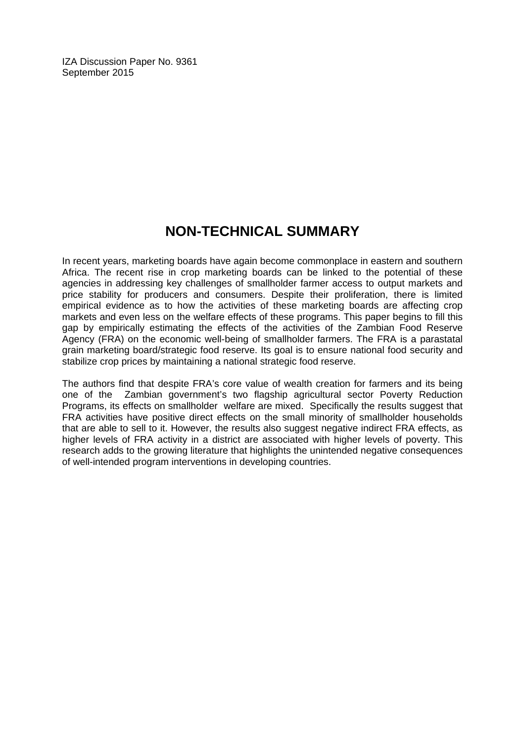IZA Discussion Paper No. 9361 September 2015

# **NON-TECHNICAL SUMMARY**

In recent years, marketing boards have again become commonplace in eastern and southern Africa. The recent rise in crop marketing boards can be linked to the potential of these agencies in addressing key challenges of smallholder farmer access to output markets and price stability for producers and consumers. Despite their proliferation, there is limited empirical evidence as to how the activities of these marketing boards are affecting crop markets and even less on the welfare effects of these programs. This paper begins to fill this gap by empirically estimating the effects of the activities of the Zambian Food Reserve Agency (FRA) on the economic well-being of smallholder farmers. The FRA is a parastatal grain marketing board/strategic food reserve. Its goal is to ensure national food security and stabilize crop prices by maintaining a national strategic food reserve.

The authors find that despite FRA's core value of wealth creation for farmers and its being one of the Zambian government's two flagship agricultural sector Poverty Reduction Programs, its effects on smallholder welfare are mixed. Specifically the results suggest that FRA activities have positive direct effects on the small minority of smallholder households that are able to sell to it. However, the results also suggest negative indirect FRA effects, as higher levels of FRA activity in a district are associated with higher levels of poverty. This research adds to the growing literature that highlights the unintended negative consequences of well-intended program interventions in developing countries.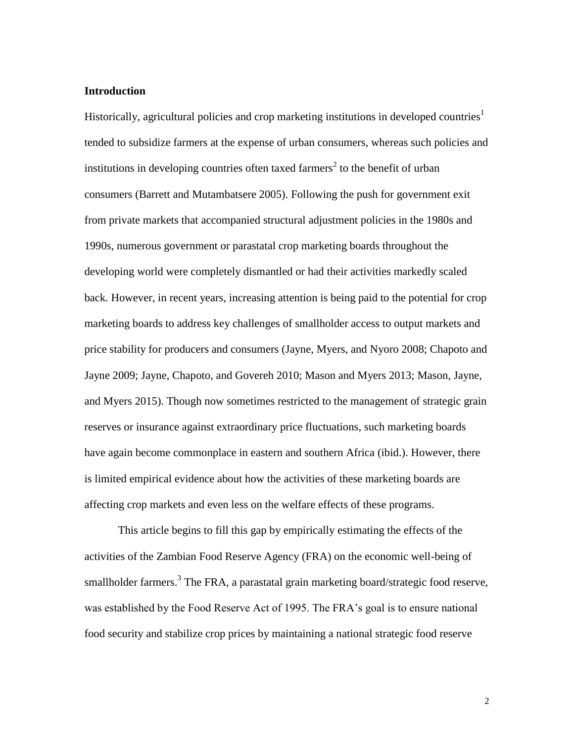### **Introduction**

Historically, agricultural policies and crop marketing institutions in developed countries<sup>1</sup> tended to subsidize farmers at the expense of urban consumers, whereas such policies and institutions in developing countries often taxed farmers<sup>2</sup> to the benefit of urban consumers (Barrett and Mutambatsere 2005). Following the push for government exit from private markets that accompanied structural adjustment policies in the 1980s and 1990s, numerous government or parastatal crop marketing boards throughout the developing world were completely dismantled or had their activities markedly scaled back. However, in recent years, increasing attention is being paid to the potential for crop marketing boards to address key challenges of smallholder access to output markets and price stability for producers and consumers (Jayne, Myers, and Nyoro 2008; Chapoto and Jayne 2009; Jayne, Chapoto, and Govereh 2010; Mason and Myers 2013; Mason, Jayne, and Myers 2015). Though now sometimes restricted to the management of strategic grain reserves or insurance against extraordinary price fluctuations, such marketing boards have again become commonplace in eastern and southern Africa (ibid.). However, there is limited empirical evidence about how the activities of these marketing boards are affecting crop markets and even less on the welfare effects of these programs.

This article begins to fill this gap by empirically estimating the effects of the activities of the Zambian Food Reserve Agency (FRA) on the economic well-being of smallholder farmers.<sup>3</sup> The FRA, a parastatal grain marketing board/strategic food reserve, was established by the Food Reserve Act of 1995. The FRA's goal is to ensure national food security and stabilize crop prices by maintaining a national strategic food reserve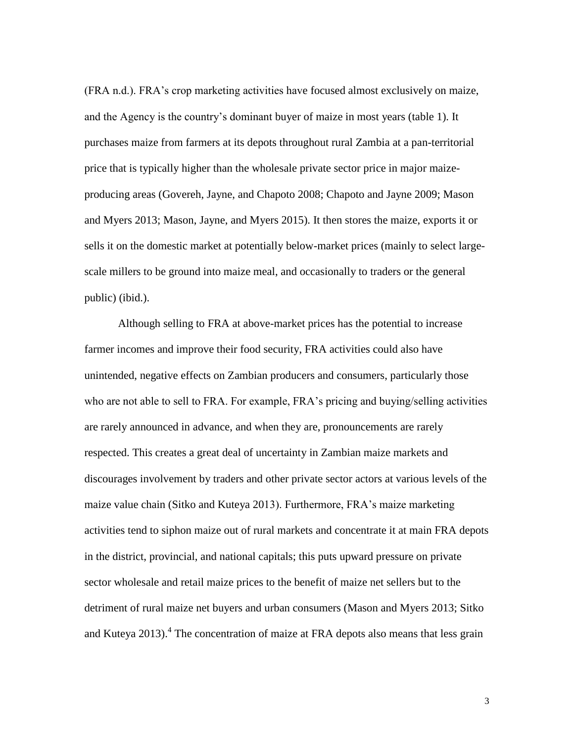(FRA n.d.). FRA's crop marketing activities have focused almost exclusively on maize, and the Agency is the country's dominant buyer of maize in most years (table 1). It purchases maize from farmers at its depots throughout rural Zambia at a pan-territorial price that is typically higher than the wholesale private sector price in major maizeproducing areas (Govereh, Jayne, and Chapoto 2008; Chapoto and Jayne 2009; Mason and Myers 2013; Mason, Jayne, and Myers 2015). It then stores the maize, exports it or sells it on the domestic market at potentially below-market prices (mainly to select largescale millers to be ground into maize meal, and occasionally to traders or the general public) (ibid.).

Although selling to FRA at above-market prices has the potential to increase farmer incomes and improve their food security, FRA activities could also have unintended, negative effects on Zambian producers and consumers, particularly those who are not able to sell to FRA. For example, FRA's pricing and buying/selling activities are rarely announced in advance, and when they are, pronouncements are rarely respected. This creates a great deal of uncertainty in Zambian maize markets and discourages involvement by traders and other private sector actors at various levels of the maize value chain (Sitko and Kuteya 2013). Furthermore, FRA's maize marketing activities tend to siphon maize out of rural markets and concentrate it at main FRA depots in the district, provincial, and national capitals; this puts upward pressure on private sector wholesale and retail maize prices to the benefit of maize net sellers but to the detriment of rural maize net buyers and urban consumers (Mason and Myers 2013; Sitko and Kuteya  $2013$ ).<sup>4</sup> The concentration of maize at FRA depots also means that less grain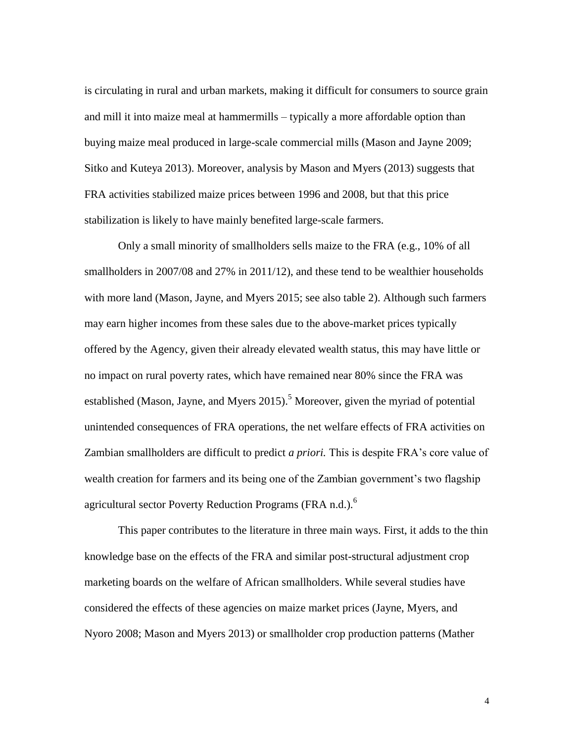is circulating in rural and urban markets, making it difficult for consumers to source grain and mill it into maize meal at hammermills – typically a more affordable option than buying maize meal produced in large-scale commercial mills (Mason and Jayne 2009; Sitko and Kuteya 2013). Moreover, analysis by Mason and Myers (2013) suggests that FRA activities stabilized maize prices between 1996 and 2008, but that this price stabilization is likely to have mainly benefited large-scale farmers.

Only a small minority of smallholders sells maize to the FRA (e.g., 10% of all smallholders in 2007/08 and 27% in 2011/12), and these tend to be wealthier households with more land (Mason, Jayne, and Myers 2015; see also table 2). Although such farmers may earn higher incomes from these sales due to the above-market prices typically offered by the Agency, given their already elevated wealth status, this may have little or no impact on rural poverty rates, which have remained near 80% since the FRA was established (Mason, Jayne, and Myers  $2015$ ).<sup>5</sup> Moreover, given the myriad of potential unintended consequences of FRA operations, the net welfare effects of FRA activities on Zambian smallholders are difficult to predict *a priori.* This is despite FRA's core value of wealth creation for farmers and its being one of the Zambian government's two flagship agricultural sector Poverty Reduction Programs (FRA n.d.).<sup>6</sup>

This paper contributes to the literature in three main ways. First, it adds to the thin knowledge base on the effects of the FRA and similar post-structural adjustment crop marketing boards on the welfare of African smallholders. While several studies have considered the effects of these agencies on maize market prices (Jayne, Myers, and Nyoro 2008; Mason and Myers 2013) or smallholder crop production patterns (Mather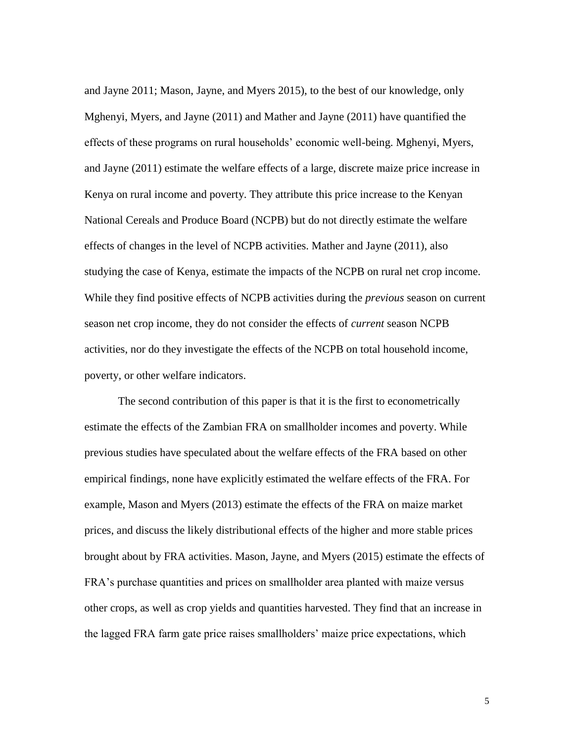and Jayne 2011; Mason, Jayne, and Myers 2015), to the best of our knowledge, only Mghenyi, Myers, and Jayne (2011) and Mather and Jayne (2011) have quantified the effects of these programs on rural households' economic well-being. Mghenyi, Myers, and Jayne (2011) estimate the welfare effects of a large, discrete maize price increase in Kenya on rural income and poverty. They attribute this price increase to the Kenyan National Cereals and Produce Board (NCPB) but do not directly estimate the welfare effects of changes in the level of NCPB activities. Mather and Jayne (2011), also studying the case of Kenya, estimate the impacts of the NCPB on rural net crop income. While they find positive effects of NCPB activities during the *previous* season on current season net crop income, they do not consider the effects of *current* season NCPB activities, nor do they investigate the effects of the NCPB on total household income, poverty, or other welfare indicators.

The second contribution of this paper is that it is the first to econometrically estimate the effects of the Zambian FRA on smallholder incomes and poverty. While previous studies have speculated about the welfare effects of the FRA based on other empirical findings, none have explicitly estimated the welfare effects of the FRA. For example, Mason and Myers (2013) estimate the effects of the FRA on maize market prices, and discuss the likely distributional effects of the higher and more stable prices brought about by FRA activities. Mason, Jayne, and Myers (2015) estimate the effects of FRA's purchase quantities and prices on smallholder area planted with maize versus other crops, as well as crop yields and quantities harvested. They find that an increase in the lagged FRA farm gate price raises smallholders' maize price expectations, which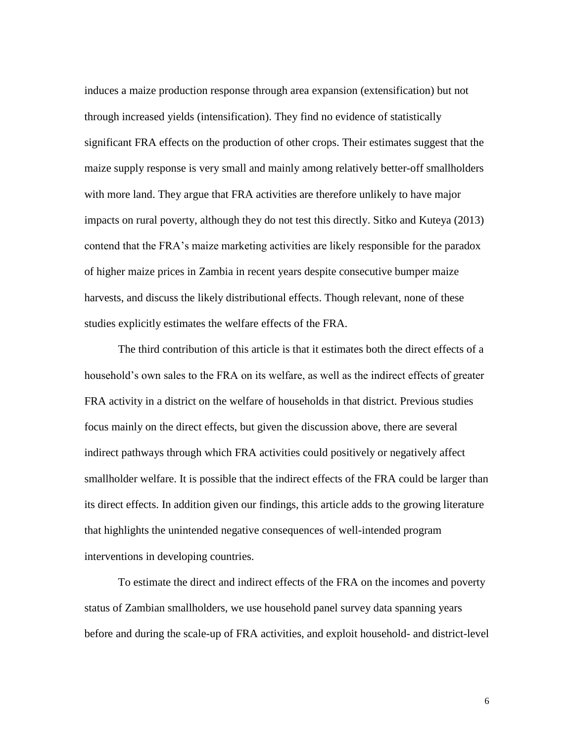induces a maize production response through area expansion (extensification) but not through increased yields (intensification). They find no evidence of statistically significant FRA effects on the production of other crops. Their estimates suggest that the maize supply response is very small and mainly among relatively better-off smallholders with more land. They argue that FRA activities are therefore unlikely to have major impacts on rural poverty, although they do not test this directly. Sitko and Kuteya (2013) contend that the FRA's maize marketing activities are likely responsible for the paradox of higher maize prices in Zambia in recent years despite consecutive bumper maize harvests, and discuss the likely distributional effects. Though relevant, none of these studies explicitly estimates the welfare effects of the FRA.

The third contribution of this article is that it estimates both the direct effects of a household's own sales to the FRA on its welfare, as well as the indirect effects of greater FRA activity in a district on the welfare of households in that district. Previous studies focus mainly on the direct effects, but given the discussion above, there are several indirect pathways through which FRA activities could positively or negatively affect smallholder welfare. It is possible that the indirect effects of the FRA could be larger than its direct effects. In addition given our findings, this article adds to the growing literature that highlights the unintended negative consequences of well-intended program interventions in developing countries.

To estimate the direct and indirect effects of the FRA on the incomes and poverty status of Zambian smallholders, we use household panel survey data spanning years before and during the scale-up of FRA activities, and exploit household- and district-level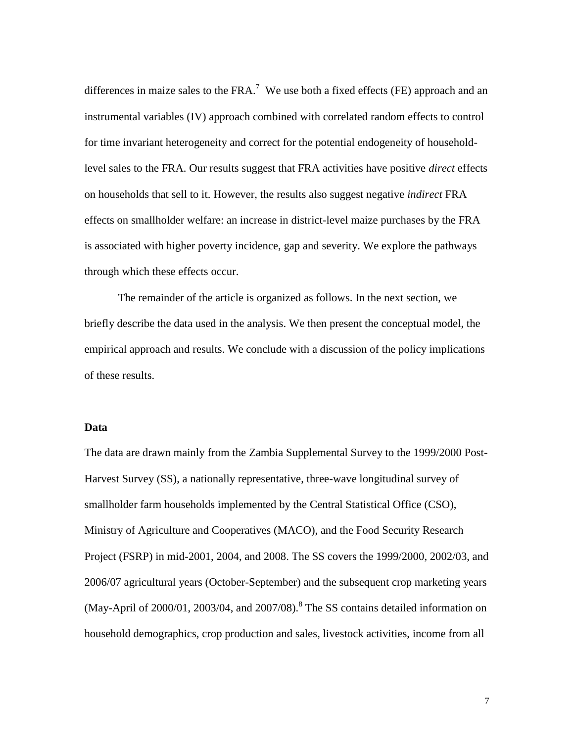differences in maize sales to the  $FRA$ .<sup>7</sup> We use both a fixed effects (FE) approach and an instrumental variables (IV) approach combined with correlated random effects to control for time invariant heterogeneity and correct for the potential endogeneity of householdlevel sales to the FRA. Our results suggest that FRA activities have positive *direct* effects on households that sell to it. However, the results also suggest negative *indirect* FRA effects on smallholder welfare: an increase in district-level maize purchases by the FRA is associated with higher poverty incidence, gap and severity. We explore the pathways through which these effects occur.

The remainder of the article is organized as follows. In the next section, we briefly describe the data used in the analysis. We then present the conceptual model, the empirical approach and results. We conclude with a discussion of the policy implications of these results.

### **Data**

The data are drawn mainly from the Zambia Supplemental Survey to the 1999/2000 Post-Harvest Survey (SS), a nationally representative, three-wave longitudinal survey of smallholder farm households implemented by the Central Statistical Office (CSO), Ministry of Agriculture and Cooperatives (MACO), and the Food Security Research Project (FSRP) in mid-2001, 2004, and 2008. The SS covers the 1999/2000, 2002/03, and 2006/07 agricultural years (October-September) and the subsequent crop marketing years (May-April of  $2000/01$ ,  $2003/04$ , and  $2007/08$ ).<sup>8</sup> The SS contains detailed information on household demographics, crop production and sales, livestock activities, income from all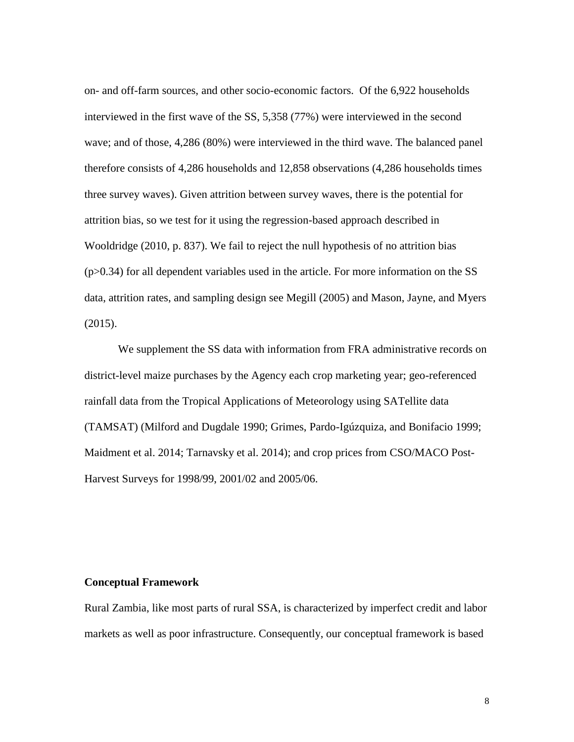on- and off-farm sources, and other socio-economic factors. Of the 6,922 households interviewed in the first wave of the SS, 5,358 (77%) were interviewed in the second wave; and of those, 4,286 (80%) were interviewed in the third wave. The balanced panel therefore consists of 4,286 households and 12,858 observations (4,286 households times three survey waves). Given attrition between survey waves, there is the potential for attrition bias, so we test for it using the regression-based approach described in Wooldridge (2010, p. 837). We fail to reject the null hypothesis of no attrition bias  $(p>0.34)$  for all dependent variables used in the article. For more information on the SS data, attrition rates, and sampling design see Megill (2005) and Mason, Jayne, and Myers (2015).

We supplement the SS data with information from FRA administrative records on district-level maize purchases by the Agency each crop marketing year; geo-referenced rainfall data from the Tropical Applications of Meteorology using SATellite data (TAMSAT) (Milford and Dugdale 1990; Grimes, Pardo-Igúzquiza, and Bonifacio 1999; Maidment et al. 2014; Tarnavsky et al. 2014); and crop prices from CSO/MACO Post-Harvest Surveys for 1998/99, 2001/02 and 2005/06.

#### **Conceptual Framework**

Rural Zambia, like most parts of rural SSA, is characterized by imperfect credit and labor markets as well as poor infrastructure. Consequently, our conceptual framework is based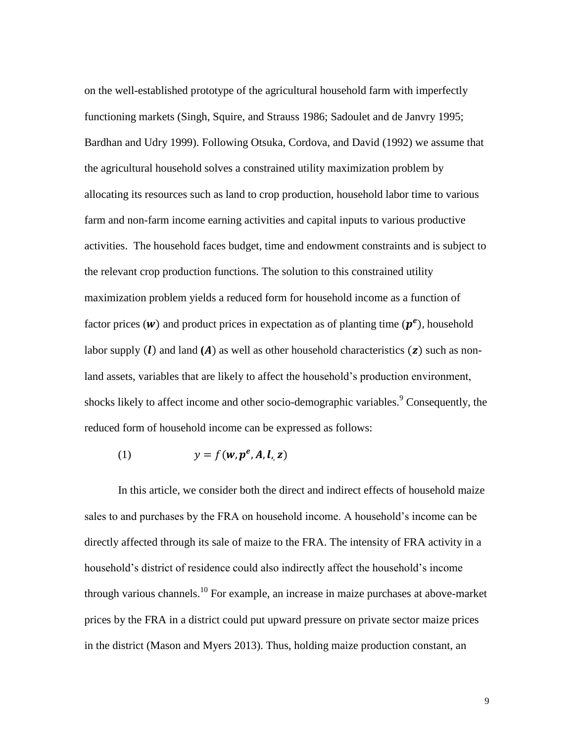on the well-established prototype of the agricultural household farm with imperfectly functioning markets (Singh, Squire, and Strauss 1986; Sadoulet and de Janvry 1995; Bardhan and Udry 1999). Following Otsuka, Cordova, and David (1992) we assume that the agricultural household solves a constrained utility maximization problem by allocating its resources such as land to crop production, household labor time to various farm and non-farm income earning activities and capital inputs to various productive activities. The household faces budget, time and endowment constraints and is subject to the relevant crop production functions. The solution to this constrained utility maximization problem yields a reduced form for household income as a function of factor prices (w) and product prices in expectation as of planting time  $(p^e)$ , household labor supply  $(l)$  and land  $(A)$  as well as other household characteristics  $(z)$  such as nonland assets, variables that are likely to affect the household's production environment, shocks likely to affect income and other socio-demographic variables.<sup>9</sup> Consequently, the reduced form of household income can be expressed as follows:

$$
(1) \t y = f(w, p^e, A, l, z)
$$

In this article, we consider both the direct and indirect effects of household maize sales to and purchases by the FRA on household income. A household's income can be directly affected through its sale of maize to the FRA. The intensity of FRA activity in a household's district of residence could also indirectly affect the household's income through various channels.<sup>10</sup> For example, an increase in maize purchases at above-market prices by the FRA in a district could put upward pressure on private sector maize prices in the district (Mason and Myers 2013). Thus, holding maize production constant, an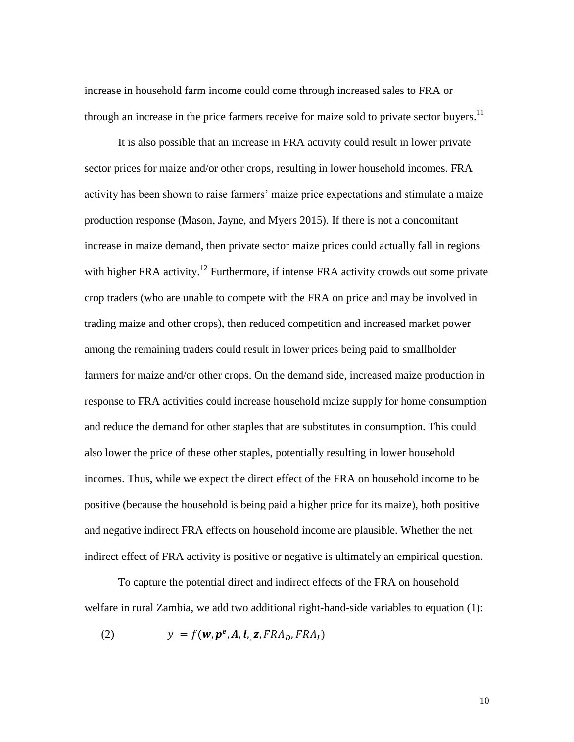increase in household farm income could come through increased sales to FRA or through an increase in the price farmers receive for maize sold to private sector buyers.<sup>11</sup>

It is also possible that an increase in FRA activity could result in lower private sector prices for maize and/or other crops, resulting in lower household incomes. FRA activity has been shown to raise farmers' maize price expectations and stimulate a maize production response (Mason, Jayne, and Myers 2015). If there is not a concomitant increase in maize demand, then private sector maize prices could actually fall in regions with higher FRA activity.<sup>12</sup> Furthermore, if intense FRA activity crowds out some private crop traders (who are unable to compete with the FRA on price and may be involved in trading maize and other crops), then reduced competition and increased market power among the remaining traders could result in lower prices being paid to smallholder farmers for maize and/or other crops. On the demand side, increased maize production in response to FRA activities could increase household maize supply for home consumption and reduce the demand for other staples that are substitutes in consumption. This could also lower the price of these other staples, potentially resulting in lower household incomes. Thus, while we expect the direct effect of the FRA on household income to be positive (because the household is being paid a higher price for its maize), both positive and negative indirect FRA effects on household income are plausible. Whether the net indirect effect of FRA activity is positive or negative is ultimately an empirical question.

To capture the potential direct and indirect effects of the FRA on household welfare in rural Zambia, we add two additional right-hand-side variables to equation (1):

(2) 
$$
y = f(\mathbf{w}, \mathbf{p}^e, \mathbf{A}, \mathbf{l}, \mathbf{z}, FRA_D, FRA_I)
$$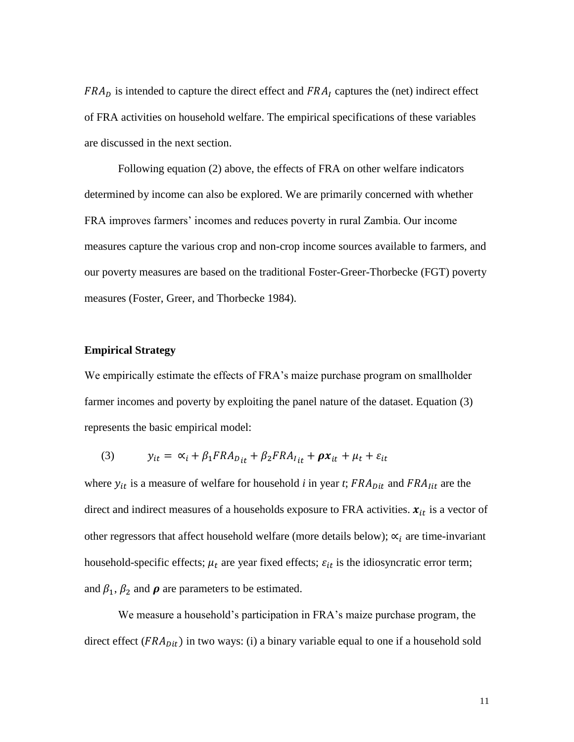$FRA<sub>D</sub>$  is intended to capture the direct effect and  $FRA<sub>I</sub>$  captures the (net) indirect effect of FRA activities on household welfare. The empirical specifications of these variables are discussed in the next section.

Following equation (2) above, the effects of FRA on other welfare indicators determined by income can also be explored. We are primarily concerned with whether FRA improves farmers' incomes and reduces poverty in rural Zambia. Our income measures capture the various crop and non-crop income sources available to farmers, and our poverty measures are based on the traditional Foster-Greer-Thorbecke (FGT) poverty measures (Foster, Greer, and Thorbecke 1984).

### **Empirical Strategy**

We empirically estimate the effects of FRA's maize purchase program on smallholder farmer incomes and poverty by exploiting the panel nature of the dataset. Equation (3) represents the basic empirical model:

(3) 
$$
y_{it} = \alpha_i + \beta_1 FRA_{D_{it}} + \beta_2 FRA_{I_{it}} + \rho x_{it} + \mu_t + \varepsilon_{it}
$$

where  $y_{it}$  is a measure of welfare for household *i* in year *t*;  $FRA_{Dit}$  and  $FRA_{lit}$  are the direct and indirect measures of a households exposure to FRA activities.  $x_{it}$  is a vector of other regressors that affect household welfare (more details below);  $\alpha_i$  are time-invariant household-specific effects;  $\mu_t$  are year fixed effects;  $\varepsilon_{it}$  is the idiosyncratic error term; and  $\beta_1$ ,  $\beta_2$  and  $\rho$  are parameters to be estimated.

We measure a household's participation in FRA's maize purchase program, the direct effect ( $FRA_{Dit}$ ) in two ways: (i) a binary variable equal to one if a household sold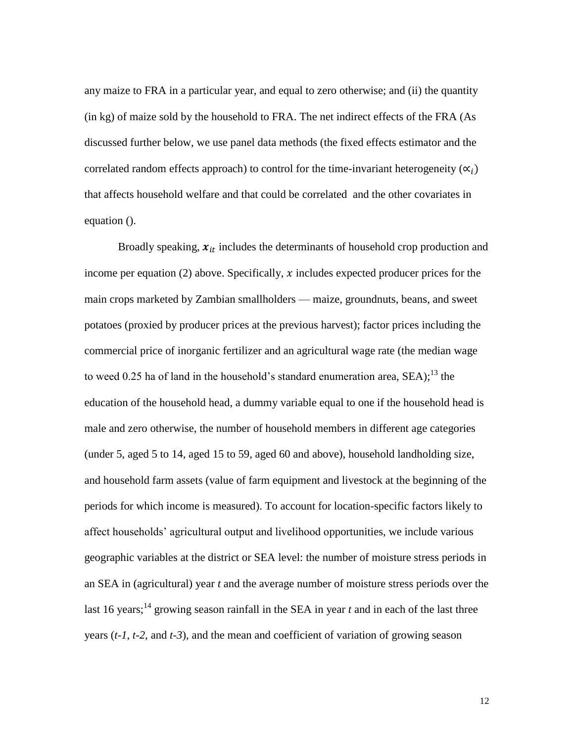any maize to FRA in a particular year, and equal to zero otherwise; and (ii) the quantity (in kg) of maize sold by the household to FRA. The net indirect effects of the FRA (As discussed further below, we use panel data methods (the fixed effects estimator and the correlated random effects approach) to control for the time-invariant heterogeneity  $(\alpha_i)$ that affects household welfare and that could be correlated and the other covariates in equation ().

Broadly speaking,  $x_{it}$  includes the determinants of household crop production and income per equation (2) above. Specifically,  $x$  includes expected producer prices for the main crops marketed by Zambian smallholders — maize, groundnuts, beans, and sweet potatoes (proxied by producer prices at the previous harvest); factor prices including the commercial price of inorganic fertilizer and an agricultural wage rate (the median wage to weed 0.25 ha of land in the household's standard enumeration area,  $SEA$ );<sup>13</sup> the education of the household head, a dummy variable equal to one if the household head is male and zero otherwise, the number of household members in different age categories (under 5, aged 5 to 14, aged 15 to 59, aged 60 and above), household landholding size, and household farm assets (value of farm equipment and livestock at the beginning of the periods for which income is measured). To account for location-specific factors likely to affect households' agricultural output and livelihood opportunities, we include various geographic variables at the district or SEA level: the number of moisture stress periods in an SEA in (agricultural) year *t* and the average number of moisture stress periods over the last 16 years;<sup>14</sup> growing season rainfall in the SEA in year  $t$  and in each of the last three years (*t-1*, *t-2*, and *t-3*), and the mean and coefficient of variation of growing season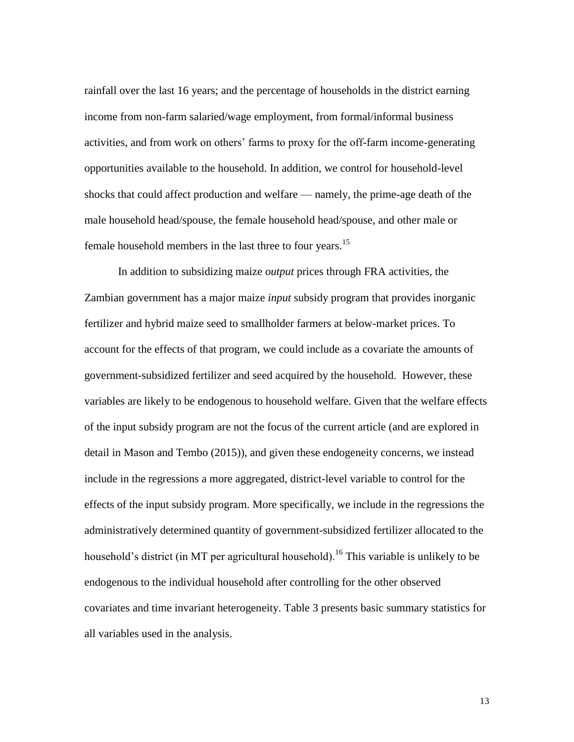rainfall over the last 16 years; and the percentage of households in the district earning income from non-farm salaried/wage employment, from formal/informal business activities, and from work on others' farms to proxy for the off-farm income-generating opportunities available to the household. In addition, we control for household-level shocks that could affect production and welfare — namely, the prime-age death of the male household head/spouse, the female household head/spouse, and other male or female household members in the last three to four years.<sup>15</sup>

In addition to subsidizing maize *output* prices through FRA activities, the Zambian government has a major maize *input* subsidy program that provides inorganic fertilizer and hybrid maize seed to smallholder farmers at below-market prices. To account for the effects of that program, we could include as a covariate the amounts of government-subsidized fertilizer and seed acquired by the household. However, these variables are likely to be endogenous to household welfare. Given that the welfare effects of the input subsidy program are not the focus of the current article (and are explored in detail in Mason and Tembo (2015)), and given these endogeneity concerns, we instead include in the regressions a more aggregated, district-level variable to control for the effects of the input subsidy program. More specifically, we include in the regressions the administratively determined quantity of government-subsidized fertilizer allocated to the household's district (in MT per agricultural household).<sup>16</sup> This variable is unlikely to be endogenous to the individual household after controlling for the other observed covariates and time invariant heterogeneity. Table 3 presents basic summary statistics for all variables used in the analysis.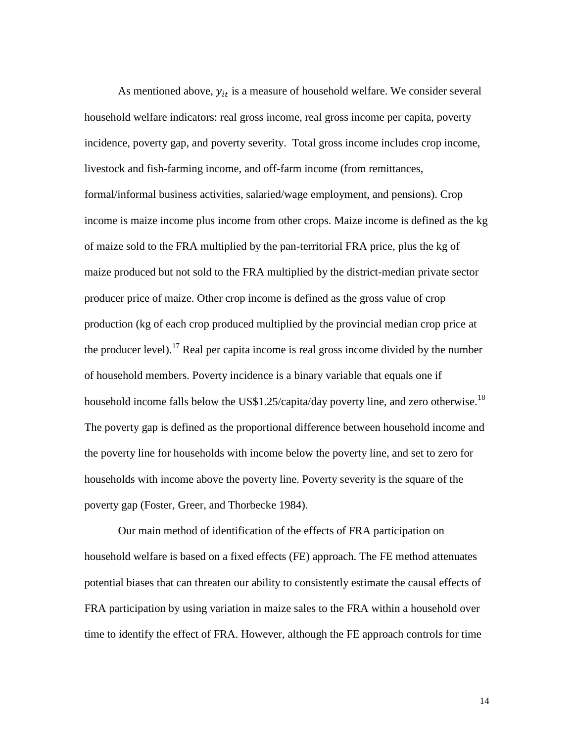As mentioned above,  $y_{it}$  is a measure of household welfare. We consider several household welfare indicators: real gross income, real gross income per capita, poverty incidence, poverty gap, and poverty severity. Total gross income includes crop income, livestock and fish-farming income, and off-farm income (from remittances, formal/informal business activities, salaried/wage employment, and pensions). Crop income is maize income plus income from other crops. Maize income is defined as the kg of maize sold to the FRA multiplied by the pan-territorial FRA price, plus the kg of maize produced but not sold to the FRA multiplied by the district-median private sector producer price of maize. Other crop income is defined as the gross value of crop production (kg of each crop produced multiplied by the provincial median crop price at the producer level).<sup>17</sup> Real per capita income is real gross income divided by the number of household members. Poverty incidence is a binary variable that equals one if household income falls below the US\$1.25/capita/day poverty line, and zero otherwise.<sup>18</sup> The poverty gap is defined as the proportional difference between household income and the poverty line for households with income below the poverty line, and set to zero for households with income above the poverty line. Poverty severity is the square of the poverty gap (Foster, Greer, and Thorbecke 1984).

Our main method of identification of the effects of FRA participation on household welfare is based on a fixed effects (FE) approach. The FE method attenuates potential biases that can threaten our ability to consistently estimate the causal effects of FRA participation by using variation in maize sales to the FRA within a household over time to identify the effect of FRA. However, although the FE approach controls for time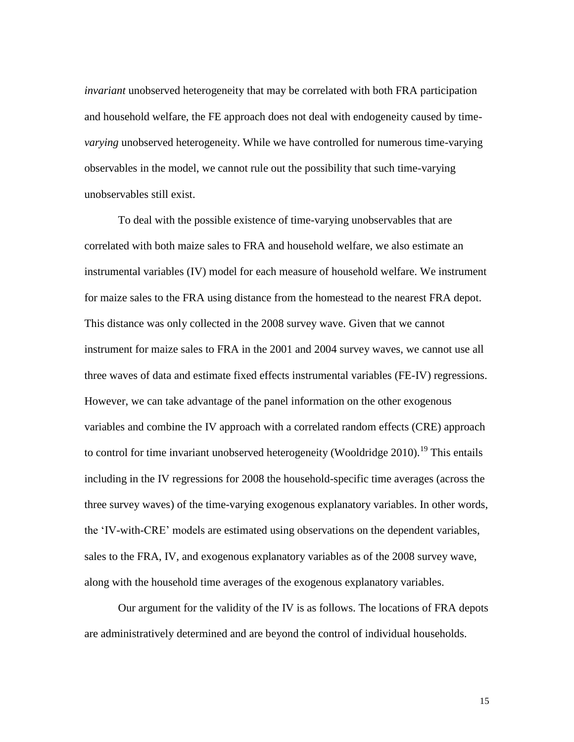*invariant* unobserved heterogeneity that may be correlated with both FRA participation and household welfare, the FE approach does not deal with endogeneity caused by time*varying* unobserved heterogeneity. While we have controlled for numerous time-varying observables in the model, we cannot rule out the possibility that such time-varying unobservables still exist.

To deal with the possible existence of time-varying unobservables that are correlated with both maize sales to FRA and household welfare, we also estimate an instrumental variables (IV) model for each measure of household welfare. We instrument for maize sales to the FRA using distance from the homestead to the nearest FRA depot. This distance was only collected in the 2008 survey wave. Given that we cannot instrument for maize sales to FRA in the 2001 and 2004 survey waves, we cannot use all three waves of data and estimate fixed effects instrumental variables (FE-IV) regressions. However, we can take advantage of the panel information on the other exogenous variables and combine the IV approach with a correlated random effects (CRE) approach to control for time invariant unobserved heterogeneity (Wooldridge  $2010$ ).<sup>19</sup> This entails including in the IV regressions for 2008 the household-specific time averages (across the three survey waves) of the time-varying exogenous explanatory variables. In other words, the 'IV-with-CRE' models are estimated using observations on the dependent variables, sales to the FRA, IV, and exogenous explanatory variables as of the 2008 survey wave, along with the household time averages of the exogenous explanatory variables.

Our argument for the validity of the IV is as follows. The locations of FRA depots are administratively determined and are beyond the control of individual households.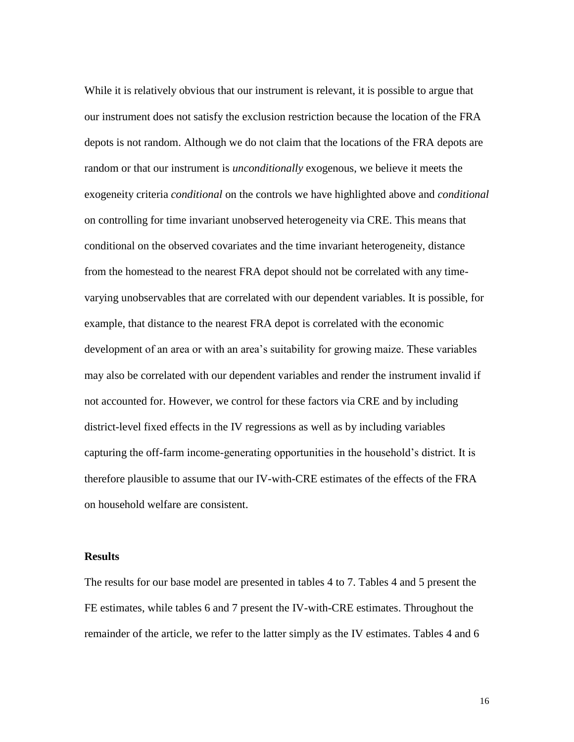While it is relatively obvious that our instrument is relevant, it is possible to argue that our instrument does not satisfy the exclusion restriction because the location of the FRA depots is not random. Although we do not claim that the locations of the FRA depots are random or that our instrument is *unconditionally* exogenous, we believe it meets the exogeneity criteria *conditional* on the controls we have highlighted above and *conditional* on controlling for time invariant unobserved heterogeneity via CRE. This means that conditional on the observed covariates and the time invariant heterogeneity, distance from the homestead to the nearest FRA depot should not be correlated with any timevarying unobservables that are correlated with our dependent variables. It is possible, for example, that distance to the nearest FRA depot is correlated with the economic development of an area or with an area's suitability for growing maize. These variables may also be correlated with our dependent variables and render the instrument invalid if not accounted for. However, we control for these factors via CRE and by including district-level fixed effects in the IV regressions as well as by including variables capturing the off-farm income-generating opportunities in the household's district. It is therefore plausible to assume that our IV-with-CRE estimates of the effects of the FRA on household welfare are consistent.

### **Results**

The results for our base model are presented in tables 4 to 7. Tables 4 and 5 present the FE estimates, while tables 6 and 7 present the IV-with-CRE estimates. Throughout the remainder of the article, we refer to the latter simply as the IV estimates. Tables 4 and 6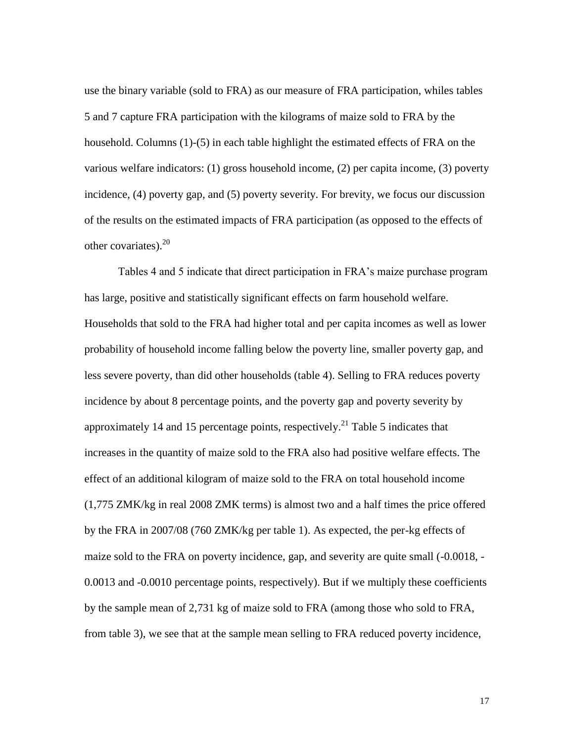use the binary variable (sold to FRA) as our measure of FRA participation, whiles tables 5 and 7 capture FRA participation with the kilograms of maize sold to FRA by the household. Columns (1)-(5) in each table highlight the estimated effects of FRA on the various welfare indicators: (1) gross household income, (2) per capita income, (3) poverty incidence, (4) poverty gap, and (5) poverty severity. For brevity, we focus our discussion of the results on the estimated impacts of FRA participation (as opposed to the effects of other covariates). $20$ 

Tables 4 and 5 indicate that direct participation in FRA's maize purchase program has large, positive and statistically significant effects on farm household welfare. Households that sold to the FRA had higher total and per capita incomes as well as lower probability of household income falling below the poverty line, smaller poverty gap, and less severe poverty, than did other households (table 4). Selling to FRA reduces poverty incidence by about 8 percentage points, and the poverty gap and poverty severity by approximately 14 and 15 percentage points, respectively.<sup>21</sup> Table 5 indicates that increases in the quantity of maize sold to the FRA also had positive welfare effects. The effect of an additional kilogram of maize sold to the FRA on total household income (1,775 ZMK/kg in real 2008 ZMK terms) is almost two and a half times the price offered by the FRA in 2007/08 (760 ZMK/kg per table 1). As expected, the per-kg effects of maize sold to the FRA on poverty incidence, gap, and severity are quite small (-0.0018, - 0.0013 and -0.0010 percentage points, respectively). But if we multiply these coefficients by the sample mean of 2,731 kg of maize sold to FRA (among those who sold to FRA, from table 3), we see that at the sample mean selling to FRA reduced poverty incidence,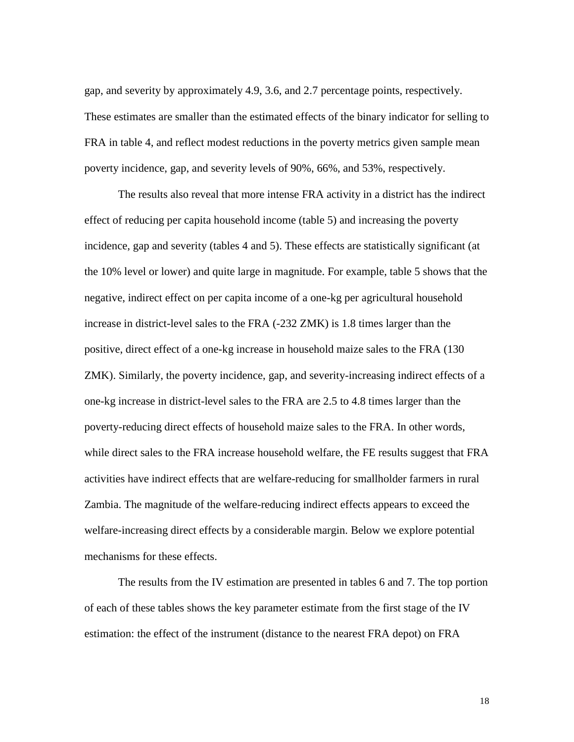gap, and severity by approximately 4.9, 3.6, and 2.7 percentage points, respectively. These estimates are smaller than the estimated effects of the binary indicator for selling to FRA in table 4, and reflect modest reductions in the poverty metrics given sample mean poverty incidence, gap, and severity levels of 90%, 66%, and 53%, respectively.

The results also reveal that more intense FRA activity in a district has the indirect effect of reducing per capita household income (table 5) and increasing the poverty incidence, gap and severity (tables 4 and 5). These effects are statistically significant (at the 10% level or lower) and quite large in magnitude. For example, table 5 shows that the negative, indirect effect on per capita income of a one-kg per agricultural household increase in district-level sales to the FRA (-232 ZMK) is 1.8 times larger than the positive, direct effect of a one-kg increase in household maize sales to the FRA (130 ZMK). Similarly, the poverty incidence, gap, and severity-increasing indirect effects of a one-kg increase in district-level sales to the FRA are 2.5 to 4.8 times larger than the poverty-reducing direct effects of household maize sales to the FRA. In other words, while direct sales to the FRA increase household welfare, the FE results suggest that FRA activities have indirect effects that are welfare-reducing for smallholder farmers in rural Zambia. The magnitude of the welfare-reducing indirect effects appears to exceed the welfare-increasing direct effects by a considerable margin. Below we explore potential mechanisms for these effects.

The results from the IV estimation are presented in tables 6 and 7. The top portion of each of these tables shows the key parameter estimate from the first stage of the IV estimation: the effect of the instrument (distance to the nearest FRA depot) on FRA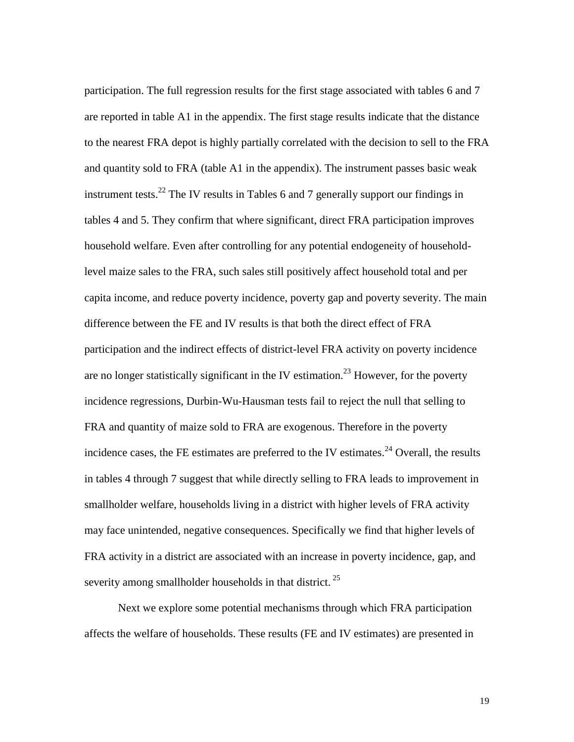participation. The full regression results for the first stage associated with tables 6 and 7 are reported in table A1 in the appendix. The first stage results indicate that the distance to the nearest FRA depot is highly partially correlated with the decision to sell to the FRA and quantity sold to FRA (table A1 in the appendix). The instrument passes basic weak instrument tests.<sup>22</sup> The IV results in Tables 6 and 7 generally support our findings in tables 4 and 5. They confirm that where significant, direct FRA participation improves household welfare. Even after controlling for any potential endogeneity of householdlevel maize sales to the FRA, such sales still positively affect household total and per capita income, and reduce poverty incidence, poverty gap and poverty severity. The main difference between the FE and IV results is that both the direct effect of FRA participation and the indirect effects of district-level FRA activity on poverty incidence are no longer statistically significant in the IV estimation.<sup>23</sup> However, for the poverty incidence regressions, Durbin-Wu-Hausman tests fail to reject the null that selling to FRA and quantity of maize sold to FRA are exogenous. Therefore in the poverty incidence cases, the FE estimates are preferred to the IV estimates.<sup>24</sup> Overall, the results in tables 4 through 7 suggest that while directly selling to FRA leads to improvement in smallholder welfare, households living in a district with higher levels of FRA activity may face unintended, negative consequences. Specifically we find that higher levels of FRA activity in a district are associated with an increase in poverty incidence, gap, and severity among smallholder households in that district.  $25$ 

Next we explore some potential mechanisms through which FRA participation affects the welfare of households. These results (FE and IV estimates) are presented in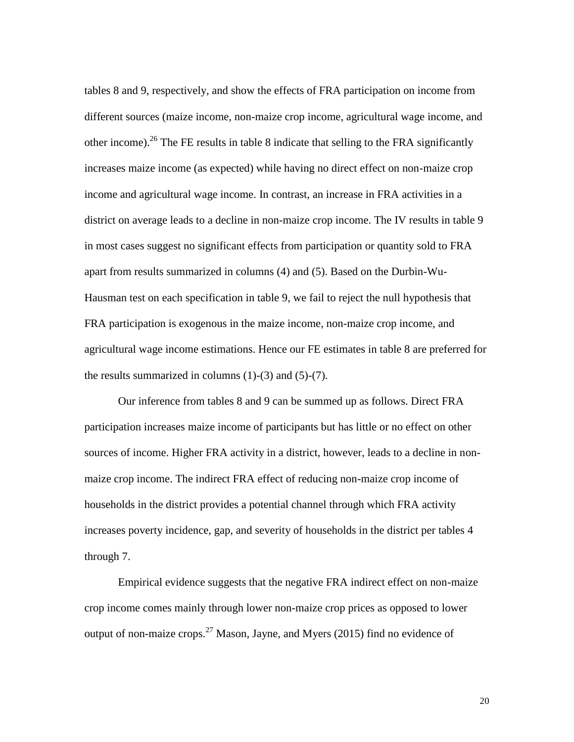tables 8 and 9, respectively, and show the effects of FRA participation on income from different sources (maize income, non-maize crop income, agricultural wage income, and other income).<sup>26</sup> The FE results in table 8 indicate that selling to the FRA significantly increases maize income (as expected) while having no direct effect on non-maize crop income and agricultural wage income. In contrast, an increase in FRA activities in a district on average leads to a decline in non-maize crop income. The IV results in table 9 in most cases suggest no significant effects from participation or quantity sold to FRA apart from results summarized in columns (4) and (5). Based on the Durbin-Wu-Hausman test on each specification in table 9, we fail to reject the null hypothesis that FRA participation is exogenous in the maize income, non-maize crop income, and agricultural wage income estimations. Hence our FE estimates in table 8 are preferred for the results summarized in columns  $(1)-(3)$  and  $(5)-(7)$ .

Our inference from tables 8 and 9 can be summed up as follows. Direct FRA participation increases maize income of participants but has little or no effect on other sources of income. Higher FRA activity in a district, however, leads to a decline in nonmaize crop income. The indirect FRA effect of reducing non-maize crop income of households in the district provides a potential channel through which FRA activity increases poverty incidence, gap, and severity of households in the district per tables 4 through 7.

Empirical evidence suggests that the negative FRA indirect effect on non-maize crop income comes mainly through lower non-maize crop prices as opposed to lower output of non-maize crops.<sup>27</sup> Mason, Jayne, and Myers (2015) find no evidence of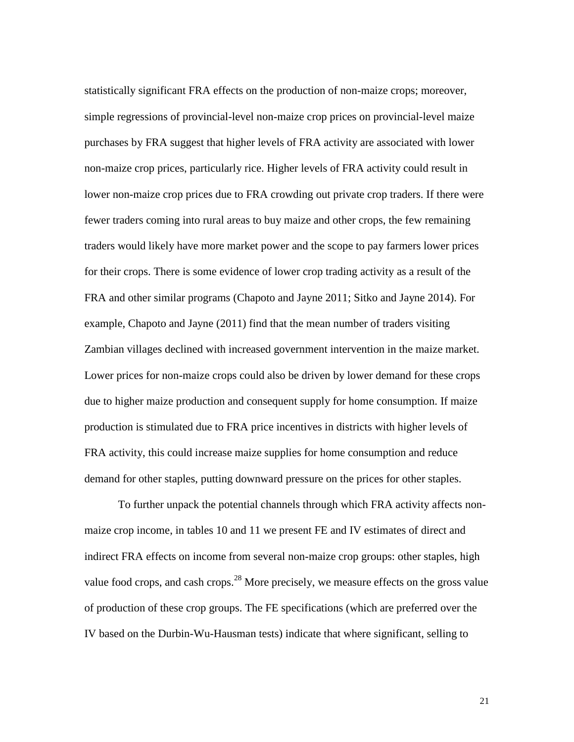statistically significant FRA effects on the production of non-maize crops; moreover, simple regressions of provincial-level non-maize crop prices on provincial-level maize purchases by FRA suggest that higher levels of FRA activity are associated with lower non-maize crop prices, particularly rice. Higher levels of FRA activity could result in lower non-maize crop prices due to FRA crowding out private crop traders. If there were fewer traders coming into rural areas to buy maize and other crops, the few remaining traders would likely have more market power and the scope to pay farmers lower prices for their crops. There is some evidence of lower crop trading activity as a result of the FRA and other similar programs (Chapoto and Jayne 2011; Sitko and Jayne 2014). For example, Chapoto and Jayne (2011) find that the mean number of traders visiting Zambian villages declined with increased government intervention in the maize market. Lower prices for non-maize crops could also be driven by lower demand for these crops due to higher maize production and consequent supply for home consumption. If maize production is stimulated due to FRA price incentives in districts with higher levels of FRA activity, this could increase maize supplies for home consumption and reduce demand for other staples, putting downward pressure on the prices for other staples.

To further unpack the potential channels through which FRA activity affects nonmaize crop income, in tables 10 and 11 we present FE and IV estimates of direct and indirect FRA effects on income from several non-maize crop groups: other staples, high value food crops, and cash crops.<sup>28</sup> More precisely, we measure effects on the gross value of production of these crop groups. The FE specifications (which are preferred over the IV based on the Durbin-Wu-Hausman tests) indicate that where significant, selling to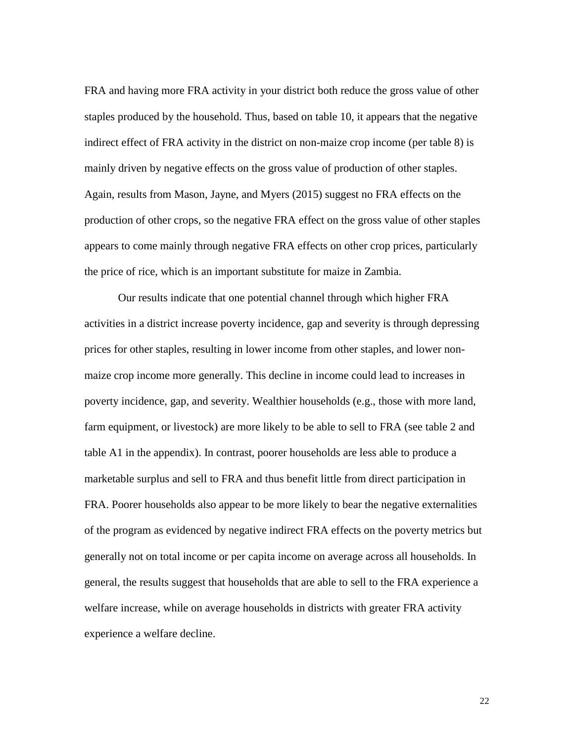FRA and having more FRA activity in your district both reduce the gross value of other staples produced by the household. Thus, based on table 10, it appears that the negative indirect effect of FRA activity in the district on non-maize crop income (per table 8) is mainly driven by negative effects on the gross value of production of other staples. Again, results from Mason, Jayne, and Myers (2015) suggest no FRA effects on the production of other crops, so the negative FRA effect on the gross value of other staples appears to come mainly through negative FRA effects on other crop prices, particularly the price of rice, which is an important substitute for maize in Zambia.

Our results indicate that one potential channel through which higher FRA activities in a district increase poverty incidence, gap and severity is through depressing prices for other staples, resulting in lower income from other staples, and lower nonmaize crop income more generally. This decline in income could lead to increases in poverty incidence, gap, and severity. Wealthier households (e.g., those with more land, farm equipment, or livestock) are more likely to be able to sell to FRA (see table 2 and table A1 in the appendix). In contrast, poorer households are less able to produce a marketable surplus and sell to FRA and thus benefit little from direct participation in FRA. Poorer households also appear to be more likely to bear the negative externalities of the program as evidenced by negative indirect FRA effects on the poverty metrics but generally not on total income or per capita income on average across all households. In general, the results suggest that households that are able to sell to the FRA experience a welfare increase, while on average households in districts with greater FRA activity experience a welfare decline.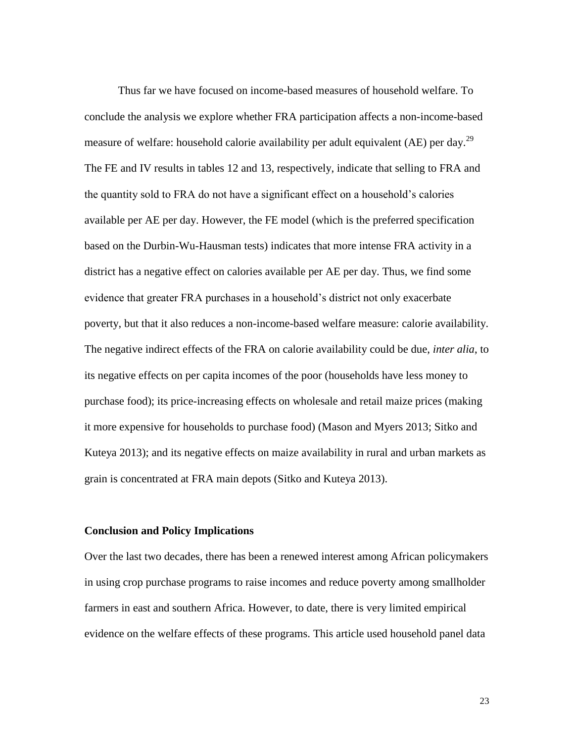Thus far we have focused on income-based measures of household welfare. To conclude the analysis we explore whether FRA participation affects a non-income-based measure of welfare: household calorie availability per adult equivalent (AE) per day.<sup>29</sup> The FE and IV results in tables 12 and 13, respectively, indicate that selling to FRA and the quantity sold to FRA do not have a significant effect on a household's calories available per AE per day. However, the FE model (which is the preferred specification based on the Durbin-Wu-Hausman tests) indicates that more intense FRA activity in a district has a negative effect on calories available per AE per day. Thus, we find some evidence that greater FRA purchases in a household's district not only exacerbate poverty, but that it also reduces a non-income-based welfare measure: calorie availability. The negative indirect effects of the FRA on calorie availability could be due, *inter alia*, to its negative effects on per capita incomes of the poor (households have less money to purchase food); its price-increasing effects on wholesale and retail maize prices (making it more expensive for households to purchase food) (Mason and Myers 2013; Sitko and Kuteya 2013); and its negative effects on maize availability in rural and urban markets as grain is concentrated at FRA main depots (Sitko and Kuteya 2013).

### **Conclusion and Policy Implications**

Over the last two decades, there has been a renewed interest among African policymakers in using crop purchase programs to raise incomes and reduce poverty among smallholder farmers in east and southern Africa. However, to date, there is very limited empirical evidence on the welfare effects of these programs. This article used household panel data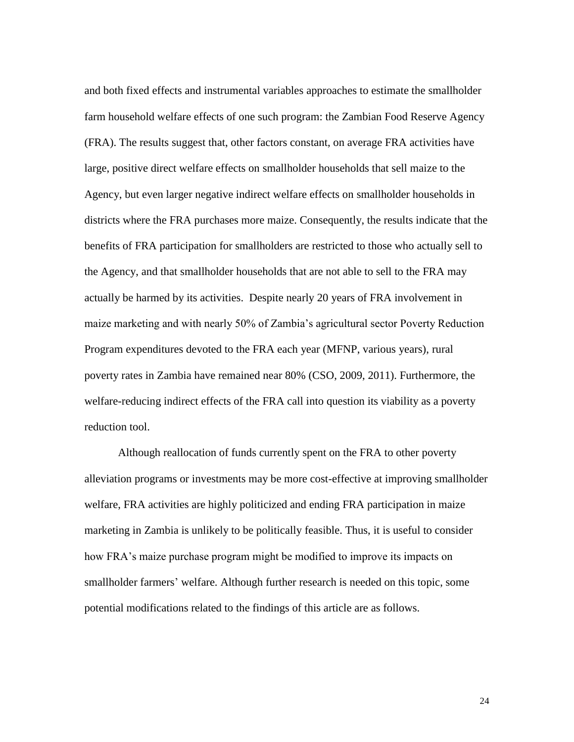and both fixed effects and instrumental variables approaches to estimate the smallholder farm household welfare effects of one such program: the Zambian Food Reserve Agency (FRA). The results suggest that, other factors constant, on average FRA activities have large, positive direct welfare effects on smallholder households that sell maize to the Agency, but even larger negative indirect welfare effects on smallholder households in districts where the FRA purchases more maize. Consequently, the results indicate that the benefits of FRA participation for smallholders are restricted to those who actually sell to the Agency, and that smallholder households that are not able to sell to the FRA may actually be harmed by its activities. Despite nearly 20 years of FRA involvement in maize marketing and with nearly 50% of Zambia's agricultural sector Poverty Reduction Program expenditures devoted to the FRA each year (MFNP, various years), rural poverty rates in Zambia have remained near 80% (CSO, 2009, 2011). Furthermore, the welfare-reducing indirect effects of the FRA call into question its viability as a poverty reduction tool.

Although reallocation of funds currently spent on the FRA to other poverty alleviation programs or investments may be more cost-effective at improving smallholder welfare, FRA activities are highly politicized and ending FRA participation in maize marketing in Zambia is unlikely to be politically feasible. Thus, it is useful to consider how FRA's maize purchase program might be modified to improve its impacts on smallholder farmers' welfare. Although further research is needed on this topic, some potential modifications related to the findings of this article are as follows.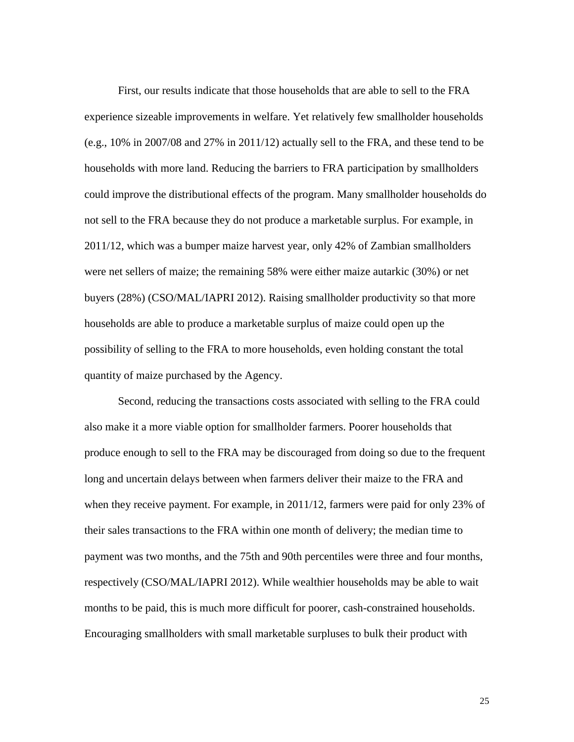First, our results indicate that those households that are able to sell to the FRA experience sizeable improvements in welfare. Yet relatively few smallholder households (e.g., 10% in 2007/08 and 27% in 2011/12) actually sell to the FRA, and these tend to be households with more land. Reducing the barriers to FRA participation by smallholders could improve the distributional effects of the program. Many smallholder households do not sell to the FRA because they do not produce a marketable surplus. For example, in 2011/12, which was a bumper maize harvest year, only 42% of Zambian smallholders were net sellers of maize; the remaining 58% were either maize autarkic (30%) or net buyers (28%) (CSO/MAL/IAPRI 2012). Raising smallholder productivity so that more households are able to produce a marketable surplus of maize could open up the possibility of selling to the FRA to more households, even holding constant the total quantity of maize purchased by the Agency.

Second, reducing the transactions costs associated with selling to the FRA could also make it a more viable option for smallholder farmers. Poorer households that produce enough to sell to the FRA may be discouraged from doing so due to the frequent long and uncertain delays between when farmers deliver their maize to the FRA and when they receive payment. For example, in 2011/12, farmers were paid for only 23% of their sales transactions to the FRA within one month of delivery; the median time to payment was two months, and the 75th and 90th percentiles were three and four months, respectively (CSO/MAL/IAPRI 2012). While wealthier households may be able to wait months to be paid, this is much more difficult for poorer, cash-constrained households. Encouraging smallholders with small marketable surpluses to bulk their product with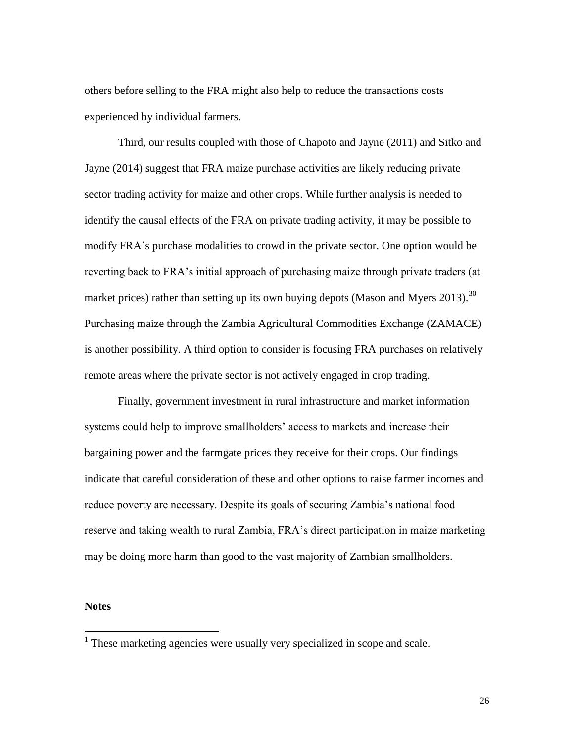others before selling to the FRA might also help to reduce the transactions costs experienced by individual farmers.

Third, our results coupled with those of Chapoto and Jayne (2011) and Sitko and Jayne (2014) suggest that FRA maize purchase activities are likely reducing private sector trading activity for maize and other crops. While further analysis is needed to identify the causal effects of the FRA on private trading activity, it may be possible to modify FRA's purchase modalities to crowd in the private sector. One option would be reverting back to FRA's initial approach of purchasing maize through private traders (at market prices) rather than setting up its own buying depots (Mason and Myers 2013).<sup>30</sup> Purchasing maize through the Zambia Agricultural Commodities Exchange (ZAMACE) is another possibility. A third option to consider is focusing FRA purchases on relatively remote areas where the private sector is not actively engaged in crop trading.

Finally, government investment in rural infrastructure and market information systems could help to improve smallholders' access to markets and increase their bargaining power and the farmgate prices they receive for their crops. Our findings indicate that careful consideration of these and other options to raise farmer incomes and reduce poverty are necessary. Despite its goals of securing Zambia's national food reserve and taking wealth to rural Zambia, FRA's direct participation in maize marketing may be doing more harm than good to the vast majority of Zambian smallholders.

#### **Notes**

<sup>&</sup>lt;sup>1</sup> These marketing agencies were usually very specialized in scope and scale.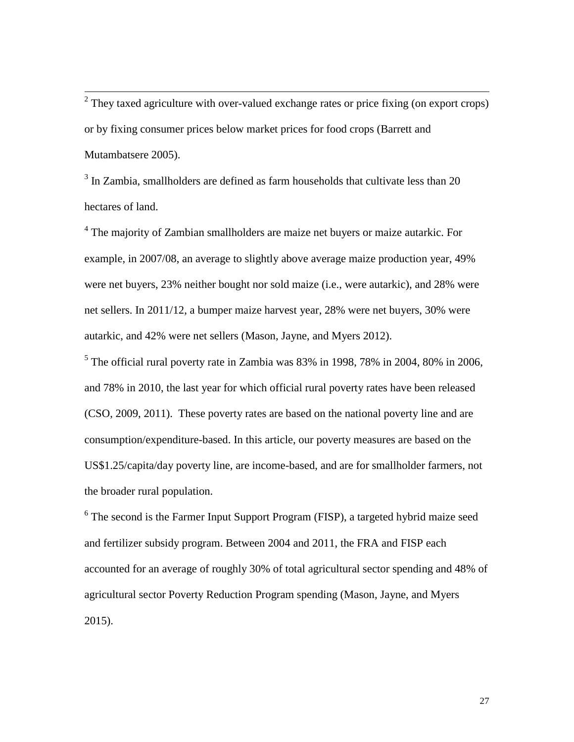<sup>2</sup> They taxed agriculture with over-valued exchange rates or price fixing (on export crops) or by fixing consumer prices below market prices for food crops (Barrett and Mutambatsere 2005).

<sup>3</sup> In Zambia, smallholders are defined as farm households that cultivate less than 20 hectares of land.

<sup>4</sup> The majority of Zambian smallholders are maize net buyers or maize autarkic. For example, in 2007/08, an average to slightly above average maize production year, 49% were net buyers, 23% neither bought nor sold maize (i.e., were autarkic), and 28% were net sellers. In 2011/12, a bumper maize harvest year, 28% were net buyers, 30% were autarkic, and 42% were net sellers (Mason, Jayne, and Myers 2012).

 $<sup>5</sup>$  The official rural poverty rate in Zambia was 83% in 1998, 78% in 2004, 80% in 2006,</sup> and 78% in 2010, the last year for which official rural poverty rates have been released (CSO, 2009, 2011). These poverty rates are based on the national poverty line and are consumption/expenditure-based. In this article, our poverty measures are based on the US\$1.25/capita/day poverty line, are income-based, and are for smallholder farmers, not the broader rural population.

<sup>6</sup> The second is the Farmer Input Support Program (FISP), a targeted hybrid maize seed and fertilizer subsidy program. Between 2004 and 2011, the FRA and FISP each accounted for an average of roughly 30% of total agricultural sector spending and 48% of agricultural sector Poverty Reduction Program spending (Mason, Jayne, and Myers 2015).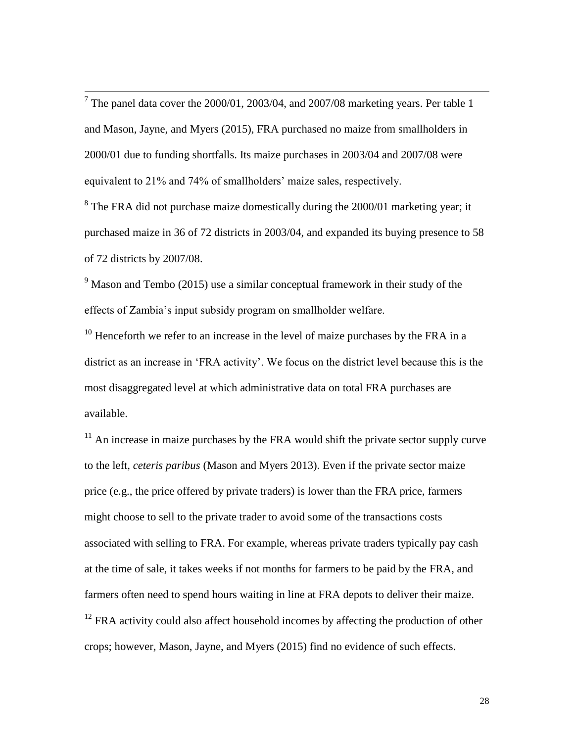$<sup>7</sup>$  The panel data cover the 2000/01, 2003/04, and 2007/08 marketing years. Per table 1</sup> and Mason, Jayne, and Myers (2015), FRA purchased no maize from smallholders in 2000/01 due to funding shortfalls. Its maize purchases in 2003/04 and 2007/08 were equivalent to 21% and 74% of smallholders' maize sales, respectively.

 $8$  The FRA did not purchase maize domestically during the 2000/01 marketing year; it purchased maize in 36 of 72 districts in 2003/04, and expanded its buying presence to 58 of 72 districts by 2007/08.

 $9$  Mason and Tembo (2015) use a similar conceptual framework in their study of the effects of Zambia's input subsidy program on smallholder welfare.

 $10$  Henceforth we refer to an increase in the level of maize purchases by the FRA in a district as an increase in 'FRA activity'. We focus on the district level because this is the most disaggregated level at which administrative data on total FRA purchases are available.

 $11$  An increase in maize purchases by the FRA would shift the private sector supply curve to the left, *ceteris paribus* (Mason and Myers 2013). Even if the private sector maize price (e.g., the price offered by private traders) is lower than the FRA price, farmers might choose to sell to the private trader to avoid some of the transactions costs associated with selling to FRA. For example, whereas private traders typically pay cash at the time of sale, it takes weeks if not months for farmers to be paid by the FRA, and farmers often need to spend hours waiting in line at FRA depots to deliver their maize.  $12$  FRA activity could also affect household incomes by affecting the production of other crops; however, Mason, Jayne, and Myers (2015) find no evidence of such effects.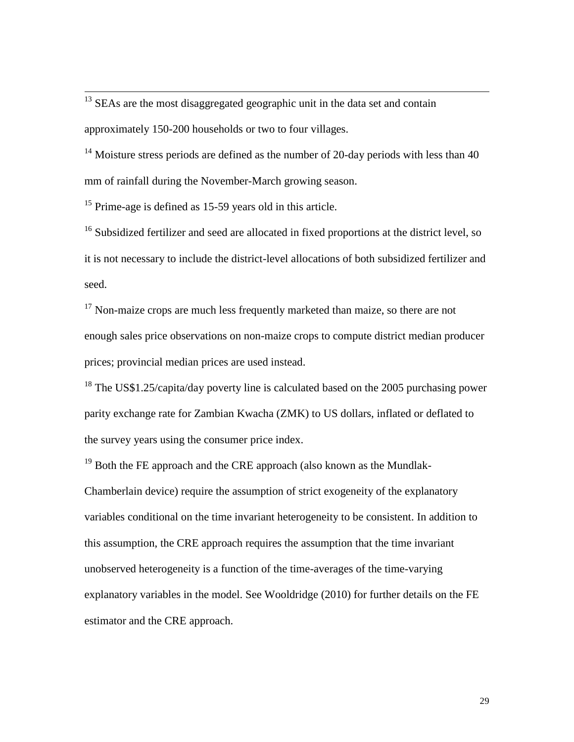$13$  SEAs are the most disaggregated geographic unit in the data set and contain approximately 150-200 households or two to four villages.

<sup>14</sup> Moisture stress periods are defined as the number of 20-day periods with less than 40 mm of rainfall during the November-March growing season.

<sup>15</sup> Prime-age is defined as 15-59 years old in this article.

 $\overline{\phantom{a}}$ 

<sup>16</sup> Subsidized fertilizer and seed are allocated in fixed proportions at the district level, so it is not necessary to include the district-level allocations of both subsidized fertilizer and seed.

 $17$  Non-maize crops are much less frequently marketed than maize, so there are not enough sales price observations on non-maize crops to compute district median producer prices; provincial median prices are used instead.

<sup>18</sup> The US\$1.25/capita/day poverty line is calculated based on the 2005 purchasing power parity exchange rate for Zambian Kwacha (ZMK) to US dollars, inflated or deflated to the survey years using the consumer price index.

<sup>19</sup> Both the FE approach and the CRE approach (also known as the Mundlak-Chamberlain device) require the assumption of strict exogeneity of the explanatory variables conditional on the time invariant heterogeneity to be consistent. In addition to this assumption, the CRE approach requires the assumption that the time invariant unobserved heterogeneity is a function of the time-averages of the time-varying explanatory variables in the model. See Wooldridge (2010) for further details on the FE estimator and the CRE approach.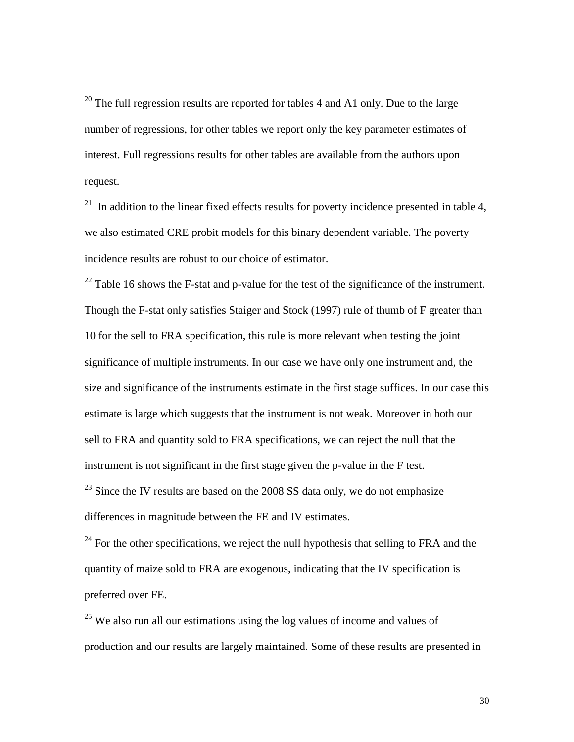$20$  The full regression results are reported for tables 4 and A1 only. Due to the large number of regressions, for other tables we report only the key parameter estimates of interest. Full regressions results for other tables are available from the authors upon request.

 $\overline{\phantom{a}}$ 

 $21$  In addition to the linear fixed effects results for poverty incidence presented in table 4, we also estimated CRE probit models for this binary dependent variable. The poverty incidence results are robust to our choice of estimator.

 $^{22}$  Table 16 shows the F-stat and p-value for the test of the significance of the instrument. Though the F-stat only satisfies Staiger and Stock (1997) rule of thumb of F greater than 10 for the sell to FRA specification, this rule is more relevant when testing the joint significance of multiple instruments. In our case we have only one instrument and, the size and significance of the instruments estimate in the first stage suffices. In our case this estimate is large which suggests that the instrument is not weak. Moreover in both our sell to FRA and quantity sold to FRA specifications, we can reject the null that the instrument is not significant in the first stage given the p-value in the F test.  $^{23}$  Since the IV results are based on the 2008 SS data only, we do not emphasize

differences in magnitude between the FE and IV estimates.

 $^{24}$  For the other specifications, we reject the null hypothesis that selling to FRA and the quantity of maize sold to FRA are exogenous, indicating that the IV specification is preferred over FE.

 $25$  We also run all our estimations using the log values of income and values of production and our results are largely maintained. Some of these results are presented in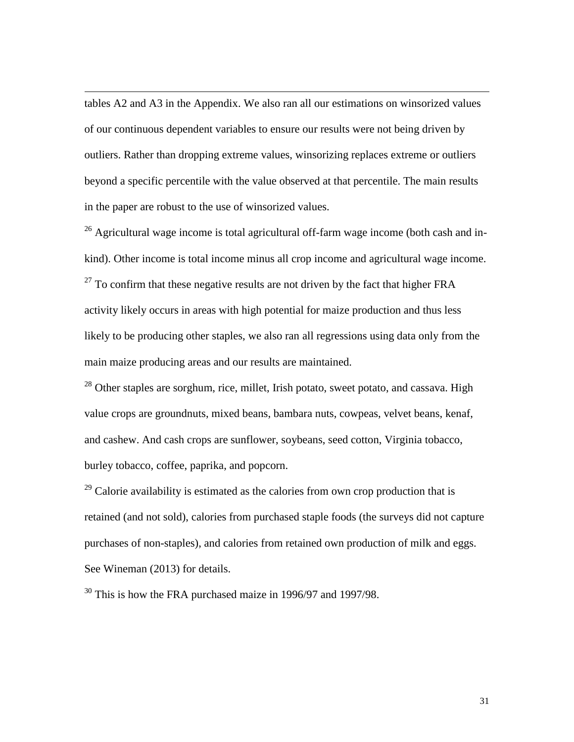tables A2 and A3 in the Appendix. We also ran all our estimations on winsorized values of our continuous dependent variables to ensure our results were not being driven by outliers. Rather than dropping extreme values, winsorizing replaces extreme or outliers beyond a specific percentile with the value observed at that percentile. The main results in the paper are robust to the use of winsorized values.

 $\overline{\phantom{a}}$ 

 $26$  Agricultural wage income is total agricultural off-farm wage income (both cash and inkind). Other income is total income minus all crop income and agricultural wage income.  $27$  To confirm that these negative results are not driven by the fact that higher FRA activity likely occurs in areas with high potential for maize production and thus less likely to be producing other staples, we also ran all regressions using data only from the main maize producing areas and our results are maintained.

 $28$  Other staples are sorghum, rice, millet, Irish potato, sweet potato, and cassava. High value crops are groundnuts, mixed beans, bambara nuts, cowpeas, velvet beans, kenaf, and cashew. And cash crops are sunflower, soybeans, seed cotton, Virginia tobacco, burley tobacco, coffee, paprika, and popcorn.

 $^{29}$  Calorie availability is estimated as the calories from own crop production that is retained (and not sold), calories from purchased staple foods (the surveys did not capture purchases of non-staples), and calories from retained own production of milk and eggs. See Wineman (2013) for details.

<sup>30</sup> This is how the FRA purchased maize in 1996/97 and 1997/98.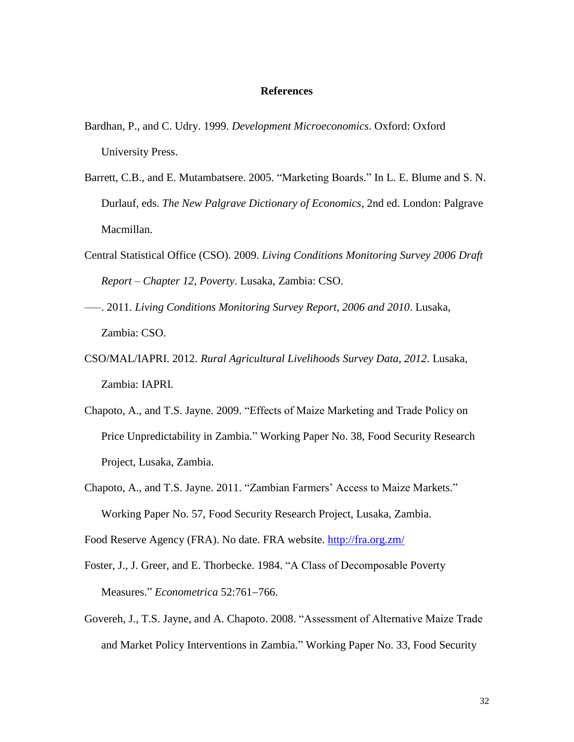#### **References**

- Bardhan, P., and C. Udry. 1999. *Development Microeconomics*. Oxford: Oxford University Press.
- Barrett, C.B., and E. Mutambatsere. 2005. "Marketing Boards." In L. E. Blume and S. N. Durlauf, eds. *The New Palgrave Dictionary of Economics*, 2nd ed. London: Palgrave Macmillan.
- Central Statistical Office (CSO). 2009. *Living Conditions Monitoring Survey 2006 Draft Report – Chapter 12, Poverty*. Lusaka, Zambia: CSO.
- –––. 2011. *Living Conditions Monitoring Survey Report, 2006 and 2010*. Lusaka, Zambia: CSO.
- CSO/MAL/IAPRI. 2012. *Rural Agricultural Livelihoods Survey Data, 2012*. Lusaka, Zambia: IAPRI.
- Chapoto, A., and T.S. Jayne. 2009. "Effects of Maize Marketing and Trade Policy on Price Unpredictability in Zambia." Working Paper No. 38, Food Security Research Project, Lusaka, Zambia.
- Chapoto, A., and T.S. Jayne. 2011. "Zambian Farmers' Access to Maize Markets." Working Paper No. 57, Food Security Research Project, Lusaka, Zambia.

Food Reserve Agency (FRA). No date. FRA website.<http://fra.org.zm/>

- Foster, J., J. Greer, and E. Thorbecke. 1984. "A Class of Decomposable Poverty Measures." *Econometrica* 52:761-766.
- Govereh, J., T.S. Jayne, and A. Chapoto. 2008. "Assessment of Alternative Maize Trade and Market Policy Interventions in Zambia." Working Paper No. 33, Food Security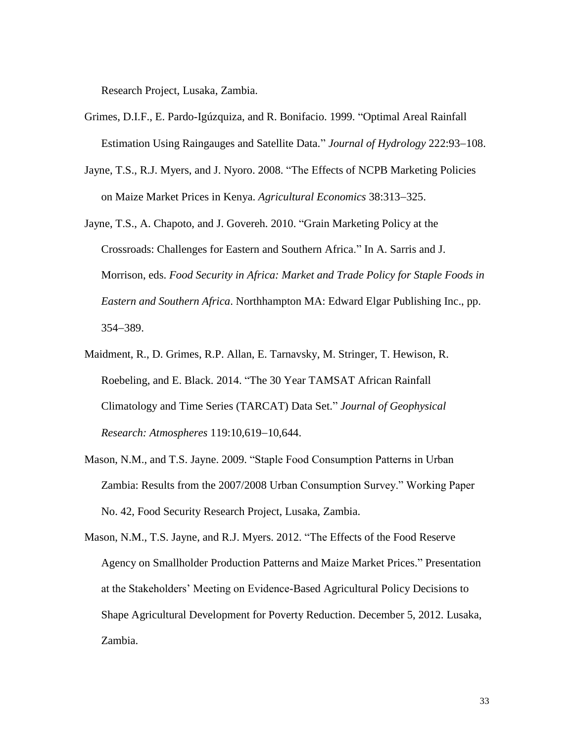Research Project, Lusaka, Zambia.

- Grimes, D.I.F., E. Pardo-Igúzquiza, and R. Bonifacio. 1999. "Optimal Areal Rainfall Estimation Using Raingauges and Satellite Data." *Journal of Hydrology* 222:93–108.
- Jayne, T.S., R.J. Myers, and J. Nyoro. 2008. "The Effects of NCPB Marketing Policies on Maize Market Prices in Kenya. *Agricultural Economics* 38:313–325.
- Jayne, T.S., A. Chapoto, and J. Govereh. 2010. "Grain Marketing Policy at the Crossroads: Challenges for Eastern and Southern Africa." In A. Sarris and J. Morrison, eds. *Food Security in Africa: Market and Trade Policy for Staple Foods in Eastern and Southern Africa*. Northhampton MA: Edward Elgar Publishing Inc., pp. 354389.
- Maidment, R., D. Grimes, R.P. Allan, E. Tarnavsky, M. Stringer, T. Hewison, R. Roebeling, and E. Black. 2014. "The 30 Year TAMSAT African Rainfall Climatology and Time Series (TARCAT) Data Set." *Journal of Geophysical Research: Atmospheres* 119:10,619-10,644.
- Mason, N.M., and T.S. Jayne. 2009. "Staple Food Consumption Patterns in Urban Zambia: Results from the 2007/2008 Urban Consumption Survey." Working Paper No. 42, Food Security Research Project, Lusaka, Zambia.
- Mason, N.M., T.S. Jayne, and R.J. Myers. 2012. "The Effects of the Food Reserve Agency on Smallholder Production Patterns and Maize Market Prices." Presentation at the Stakeholders' Meeting on Evidence-Based Agricultural Policy Decisions to Shape Agricultural Development for Poverty Reduction. December 5, 2012. Lusaka, Zambia.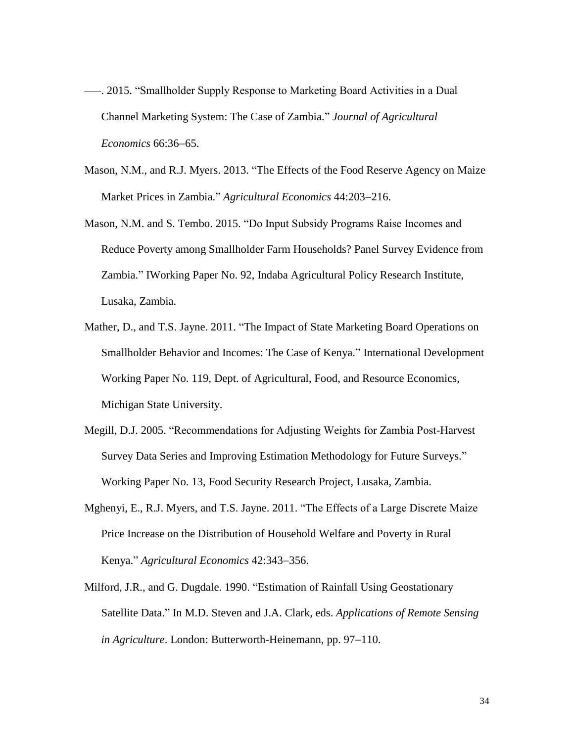- –––. 2015. "Smallholder Supply Response to Marketing Board Activities in a Dual Channel Marketing System: The Case of Zambia." *Journal of Agricultural Economics* 66:36–65.
- Mason, N.M., and R.J. Myers. 2013. "The Effects of the Food Reserve Agency on Maize Market Prices in Zambia." *Agricultural Economics* 44:203-216.
- Mason, N.M. and S. Tembo. 2015. "Do Input Subsidy Programs Raise Incomes and Reduce Poverty among Smallholder Farm Households? Panel Survey Evidence from Zambia." IWorking Paper No. 92, Indaba Agricultural Policy Research Institute, Lusaka, Zambia.
- Mather, D., and T.S. Jayne. 2011. "The Impact of State Marketing Board Operations on Smallholder Behavior and Incomes: The Case of Kenya." International Development Working Paper No. 119, Dept. of Agricultural, Food, and Resource Economics, Michigan State University.
- Megill, D.J. 2005. "Recommendations for Adjusting Weights for Zambia Post-Harvest Survey Data Series and Improving Estimation Methodology for Future Surveys." Working Paper No. 13, Food Security Research Project, Lusaka, Zambia.
- Mghenyi, E., R.J. Myers, and T.S. Jayne. 2011. "The Effects of a Large Discrete Maize Price Increase on the Distribution of Household Welfare and Poverty in Rural Kenya." *Agricultural Economics* 42:343-356.
- Milford, J.R., and G. Dugdale. 1990. "Estimation of Rainfall Using Geostationary Satellite Data." In M.D. Steven and J.A. Clark, eds. *Applications of Remote Sensing in Agriculture.* London: Butterworth-Heinemann, pp. 97–110.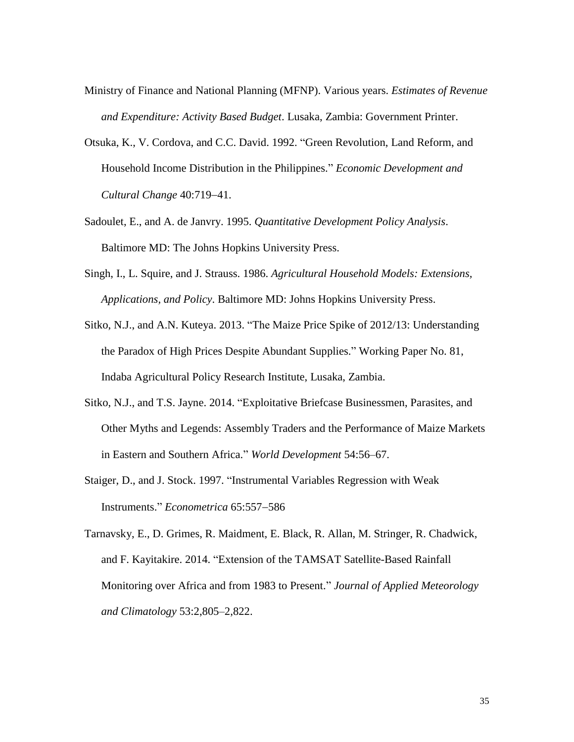- Ministry of Finance and National Planning (MFNP). Various years. *Estimates of Revenue and Expenditure: Activity Based Budget*. Lusaka, Zambia: Government Printer.
- Otsuka, K., V. Cordova, and C.C. David. 1992. "Green Revolution, Land Reform, and Household Income Distribution in the Philippines." *Economic Development and Cultural Change* 40:719-41.
- Sadoulet, E., and A. de Janvry. 1995. *Quantitative Development Policy Analysis*. Baltimore MD: The Johns Hopkins University Press.
- Singh, I., L. Squire, and J. Strauss. 1986. *Agricultural Household Models: Extensions, Applications, and Policy*. Baltimore MD: Johns Hopkins University Press.
- Sitko, N.J., and A.N. Kuteya. 2013. "The Maize Price Spike of 2012/13: Understanding the Paradox of High Prices Despite Abundant Supplies." Working Paper No. 81, Indaba Agricultural Policy Research Institute, Lusaka, Zambia.
- Sitko, N.J., and T.S. Jayne. 2014. "Exploitative Briefcase Businessmen, Parasites, and Other Myths and Legends: Assembly Traders and the Performance of Maize Markets in Eastern and Southern Africa." *World Development* 54:56–67.
- Staiger, D., and J. Stock. 1997. "Instrumental Variables Regression with Weak Instruments." *Econometrica* 65:557-586
- Tarnavsky, E., D. Grimes, R. Maidment, E. Black, R. Allan, M. Stringer, R. Chadwick, and F. Kayitakire. 2014. "Extension of the TAMSAT Satellite-Based Rainfall Monitoring over Africa and from 1983 to Present." *Journal of Applied Meteorology and Climatology* 53:2,805–2,822.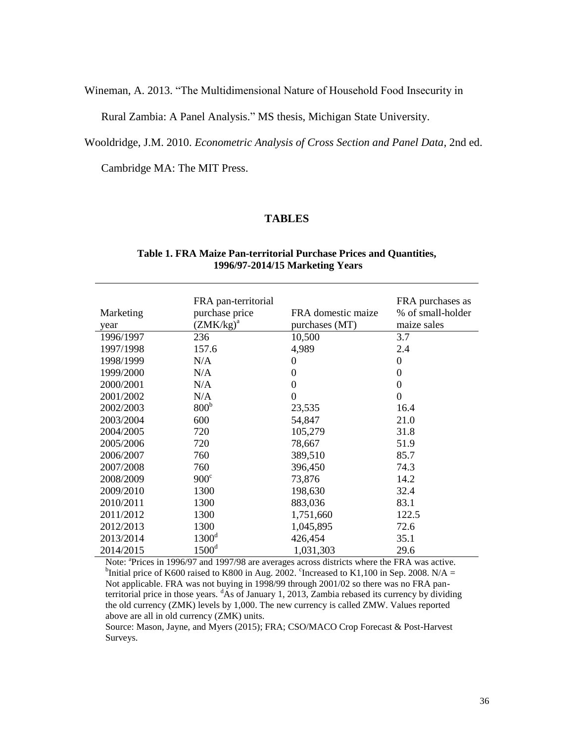Wineman, A. 2013. "The Multidimensional Nature of Household Food Insecurity in

Rural Zambia: A Panel Analysis." MS thesis, Michigan State University.

Wooldridge, J.M. 2010. *Econometric Analysis of Cross Section and Panel Data*, 2nd ed.

Cambridge MA: The MIT Press.

### **TABLES**

#### **Table 1. FRA Maize Pan-territorial Purchase Prices and Quantities, 1996/97-2014/15 Marketing Years**

| Marketing<br>year | FRA pan-territorial<br>purchase price<br>$(ZMK/kg)^a$ | FRA domestic maize<br>purchases (MT) | FRA purchases as<br>% of small-holder<br>maize sales |
|-------------------|-------------------------------------------------------|--------------------------------------|------------------------------------------------------|
| 1996/1997         | 236                                                   | 10,500                               | 3.7                                                  |
| 1997/1998         | 157.6                                                 | 4,989                                | 2.4                                                  |
| 1998/1999         | N/A                                                   | $\Omega$                             | 0                                                    |
| 1999/2000         | N/A                                                   | $\theta$                             | $\theta$                                             |
| 2000/2001         | N/A                                                   | $\boldsymbol{0}$                     | 0                                                    |
| 2001/2002         | N/A                                                   | $\theta$                             | 0                                                    |
| 2002/2003         | 800 <sup>b</sup>                                      | 23,535                               | 16.4                                                 |
| 2003/2004         | 600                                                   | 54,847                               | 21.0                                                 |
| 2004/2005         | 720                                                   | 105,279                              | 31.8                                                 |
| 2005/2006         | 720                                                   | 78,667                               | 51.9                                                 |
| 2006/2007         | 760                                                   | 389,510                              | 85.7                                                 |
| 2007/2008         | 760                                                   | 396,450                              | 74.3                                                 |
| 2008/2009         | 900 <sup>c</sup>                                      | 73,876                               | 14.2                                                 |
| 2009/2010         | 1300                                                  | 198,630                              | 32.4                                                 |
| 2010/2011         | 1300                                                  | 883,036                              | 83.1                                                 |
| 2011/2012         | 1300                                                  | 1,751,660                            | 122.5                                                |
| 2012/2013         | 1300                                                  | 1,045,895                            | 72.6                                                 |
| 2013/2014         | 1300 <sup>d</sup>                                     | 426,454                              | 35.1                                                 |
| 2014/2015         | 1500 <sup>d</sup>                                     | 1,031,303                            | 29.6                                                 |

Note: <sup>a</sup>Prices in 1996/97 and 1997/98 are averages across districts where the FRA was active. <sup>b</sup>Initial price of K600 raised to K800 in Aug. 2002. <sup>c</sup>Increased to K1,100 in Sep. 2008. N/A = Not applicable. FRA was not buying in 1998/99 through 2001/02 so there was no FRA panterritorial price in those years. <sup>d</sup>As of January 1, 2013, Zambia rebased its currency by dividing the old currency (ZMK) levels by 1,000. The new currency is called ZMW. Values reported above are all in old currency (ZMK) units.

Source: Mason, Jayne, and Myers (2015); FRA; CSO/MACO Crop Forecast & Post-Harvest Surveys.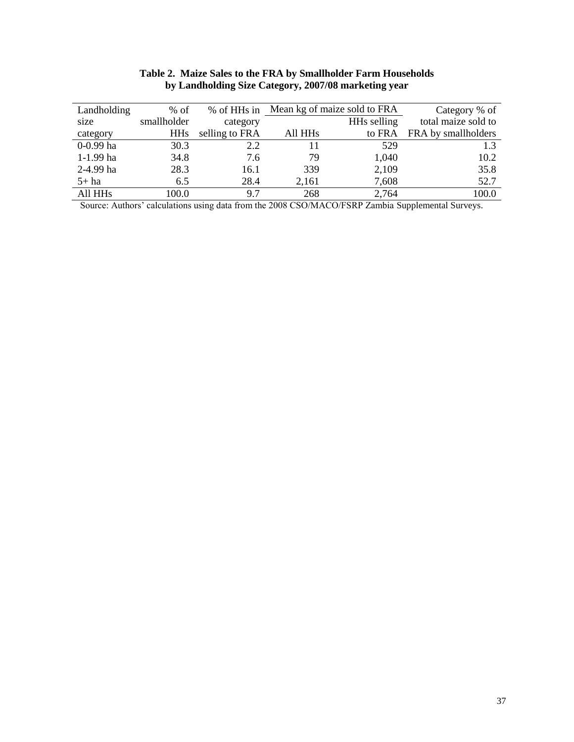| Landholding         | $%$ of      | % of HHs in    |                     | Mean kg of maize sold to FRA | Category % of       |
|---------------------|-------------|----------------|---------------------|------------------------------|---------------------|
| size                | smallholder | category       |                     | HHs selling                  | total maize sold to |
| category            | <b>HHs</b>  | selling to FRA | All HH <sub>s</sub> | to FRA                       | FRA by smallholders |
| $0-0.99$ ha         | 30.3        | 2.2            | 11                  | 529                          | 1.3                 |
| $1-1.99$ ha         | 34.8        | 7.6            | 79                  | 1,040                        | 10.2                |
| 2-4.99 ha           | 28.3        | 16.1           | 339                 | 2,109                        | 35.8                |
| $5+$ ha             | 6.5         | 28.4           | 2,161               | 7,608                        | 52.7                |
| All HH <sub>s</sub> | 100.0       | 97             | 268                 | 2,764                        | 100.0               |

#### **Table 2. Maize Sales to the FRA by Smallholder Farm Households by Landholding Size Category, 2007/08 marketing year**

Source: Authors' calculations using data from the 2008 CSO/MACO/FSRP Zambia Supplemental Surveys.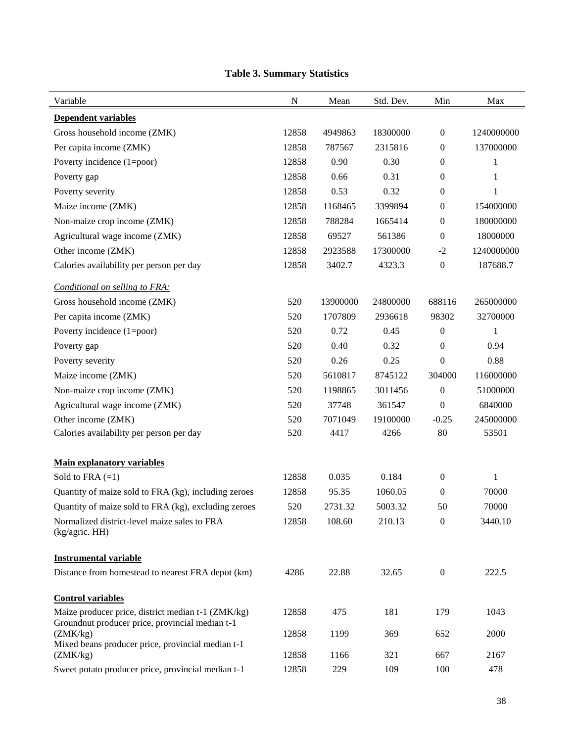| Variable                                                                                              | N     | Mean     | Std. Dev. | Min              | Max          |
|-------------------------------------------------------------------------------------------------------|-------|----------|-----------|------------------|--------------|
| <b>Dependent variables</b>                                                                            |       |          |           |                  |              |
| Gross household income (ZMK)                                                                          | 12858 | 4949863  | 18300000  | $\boldsymbol{0}$ | 1240000000   |
| Per capita income (ZMK)                                                                               | 12858 | 787567   | 2315816   | $\boldsymbol{0}$ | 137000000    |
| Poverty incidence (1=poor)                                                                            | 12858 | 0.90     | 0.30      | $\mathbf{0}$     | 1            |
| Poverty gap                                                                                           | 12858 | 0.66     | 0.31      | $\boldsymbol{0}$ | $\mathbf{1}$ |
| Poverty severity                                                                                      | 12858 | 0.53     | 0.32      | $\boldsymbol{0}$ | $\mathbf{1}$ |
| Maize income (ZMK)                                                                                    | 12858 | 1168465  | 3399894   | $\mathbf{0}$     | 154000000    |
| Non-maize crop income (ZMK)                                                                           | 12858 | 788284   | 1665414   | $\boldsymbol{0}$ | 180000000    |
| Agricultural wage income (ZMK)                                                                        | 12858 | 69527    | 561386    | $\boldsymbol{0}$ | 18000000     |
| Other income (ZMK)                                                                                    | 12858 | 2923588  | 17300000  | $-2$             | 1240000000   |
| Calories availability per person per day                                                              | 12858 | 3402.7   | 4323.3    | $\boldsymbol{0}$ | 187688.7     |
| Conditional on selling to FRA:                                                                        |       |          |           |                  |              |
| Gross household income (ZMK)                                                                          | 520   | 13900000 | 24800000  | 688116           | 265000000    |
| Per capita income (ZMK)                                                                               | 520   | 1707809  | 2936618   | 98302            | 32700000     |
| Poverty incidence (1=poor)                                                                            | 520   | 0.72     | 0.45      | $\boldsymbol{0}$ | 1            |
| Poverty gap                                                                                           | 520   | 0.40     | 0.32      | $\boldsymbol{0}$ | 0.94         |
| Poverty severity                                                                                      | 520   | 0.26     | 0.25      | $\mathbf{0}$     | 0.88         |
| Maize income (ZMK)                                                                                    | 520   | 5610817  | 8745122   | 304000           | 116000000    |
| Non-maize crop income (ZMK)                                                                           | 520   | 1198865  | 3011456   | $\boldsymbol{0}$ | 51000000     |
| Agricultural wage income (ZMK)                                                                        | 520   | 37748    | 361547    | $\mathbf{0}$     | 6840000      |
| Other income (ZMK)                                                                                    | 520   | 7071049  | 19100000  | $-0.25$          | 245000000    |
| Calories availability per person per day                                                              | 520   | 4417     | 4266      | 80               | 53501        |
| <b>Main explanatory variables</b>                                                                     |       |          |           |                  |              |
| Sold to FRA $(=1)$                                                                                    | 12858 | 0.035    | 0.184     | $\mathbf{0}$     | 1            |
| Quantity of maize sold to FRA (kg), including zeroes                                                  | 12858 | 95.35    | 1060.05   | $\boldsymbol{0}$ | 70000        |
| Quantity of maize sold to FRA (kg), excluding zeroes                                                  | 520   | 2731.32  | 5003.32   | 50               | 70000        |
| Normalized district-level maize sales to FRA<br>(kg/agric. HH)                                        | 12858 | 108.60   | 210.13    | $\mathbf{0}$     | 3440.10      |
| <b>Instrumental variable</b>                                                                          |       |          |           |                  |              |
| Distance from homestead to nearest FRA depot (km)                                                     | 4286  | 22.88    | 32.65     | $\boldsymbol{0}$ | 222.5        |
| <b>Control variables</b>                                                                              |       |          |           |                  |              |
| Maize producer price, district median t-1 (ZMK/kg)<br>Groundnut producer price, provincial median t-1 | 12858 | 475      | 181       | 179              | 1043         |
| (ZMK/kg)<br>Mixed beans producer price, provincial median t-1                                         | 12858 | 1199     | 369       | 652              | 2000         |
| (ZMK/kg)                                                                                              | 12858 | 1166     | 321       | 667              | 2167         |
| Sweet potato producer price, provincial median t-1                                                    | 12858 | 229      | 109       | 100              | 478          |

### **Table 3. Summary Statistics**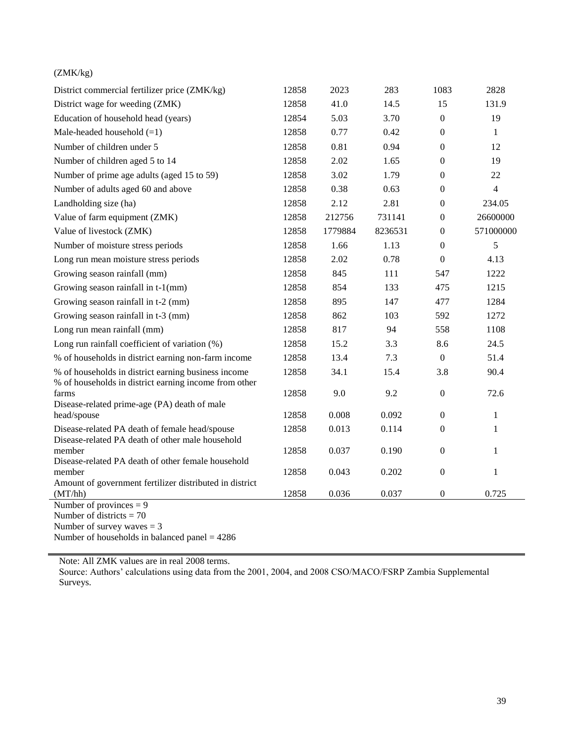### (ZMK/kg)

| District commercial fertilizer price (ZMK/kg)                                                                | 12858 | 2023    | 283     | 1083             | 2828           |
|--------------------------------------------------------------------------------------------------------------|-------|---------|---------|------------------|----------------|
| District wage for weeding (ZMK)                                                                              | 12858 | 41.0    | 14.5    | 15               | 131.9          |
| Education of household head (years)                                                                          | 12854 | 5.03    | 3.70    | $\boldsymbol{0}$ | 19             |
| Male-headed household $(=1)$                                                                                 | 12858 | 0.77    | 0.42    | $\boldsymbol{0}$ | $\mathbf{1}$   |
| Number of children under 5                                                                                   | 12858 | 0.81    | 0.94    | $\boldsymbol{0}$ | 12             |
| Number of children aged 5 to 14                                                                              | 12858 | 2.02    | 1.65    | $\mathbf{0}$     | 19             |
| Number of prime age adults (aged 15 to 59)                                                                   | 12858 | 3.02    | 1.79    | $\boldsymbol{0}$ | 22             |
| Number of adults aged 60 and above                                                                           | 12858 | 0.38    | 0.63    | $\boldsymbol{0}$ | $\overline{4}$ |
| Landholding size (ha)                                                                                        | 12858 | 2.12    | 2.81    | $\boldsymbol{0}$ | 234.05         |
| Value of farm equipment (ZMK)                                                                                | 12858 | 212756  | 731141  | $\boldsymbol{0}$ | 26600000       |
| Value of livestock (ZMK)                                                                                     | 12858 | 1779884 | 8236531 | $\boldsymbol{0}$ | 571000000      |
| Number of moisture stress periods                                                                            | 12858 | 1.66    | 1.13    | $\boldsymbol{0}$ | 5              |
| Long run mean moisture stress periods                                                                        | 12858 | 2.02    | 0.78    | $\boldsymbol{0}$ | 4.13           |
| Growing season rainfall (mm)                                                                                 | 12858 | 845     | 111     | 547              | 1222           |
| Growing season rainfall in t-1(mm)                                                                           | 12858 | 854     | 133     | 475              | 1215           |
| Growing season rainfall in t-2 (mm)                                                                          | 12858 | 895     | 147     | 477              | 1284           |
| Growing season rainfall in t-3 (mm)                                                                          | 12858 | 862     | 103     | 592              | 1272           |
| Long run mean rainfall (mm)                                                                                  | 12858 | 817     | 94      | 558              | 1108           |
| Long run rainfall coefficient of variation (%)                                                               | 12858 | 15.2    | 3.3     | 8.6              | 24.5           |
| % of households in district earning non-farm income                                                          | 12858 | 13.4    | 7.3     | $\boldsymbol{0}$ | 51.4           |
| % of households in district earning business income<br>% of households in district earning income from other | 12858 | 34.1    | 15.4    | 3.8              | 90.4           |
| farms                                                                                                        | 12858 | 9.0     | 9.2     | $\boldsymbol{0}$ | 72.6           |
| Disease-related prime-age (PA) death of male                                                                 |       | 0.008   | 0.092   |                  |                |
| head/spouse                                                                                                  | 12858 |         |         | $\boldsymbol{0}$ | 1              |
| Disease-related PA death of female head/spouse<br>Disease-related PA death of other male household           | 12858 | 0.013   | 0.114   | $\theta$         | 1              |
| member                                                                                                       | 12858 | 0.037   | 0.190   | $\boldsymbol{0}$ | $\mathbf{1}$   |
| Disease-related PA death of other female household                                                           |       |         |         |                  |                |
| member<br>Amount of government fertilizer distributed in district                                            | 12858 | 0.043   | 0.202   | $\boldsymbol{0}$ | 1              |
| (MT/hh)                                                                                                      | 12858 | 0.036   | 0.037   | $\boldsymbol{0}$ | 0.725          |
| Number of provinces = $9$                                                                                    |       |         |         |                  |                |

Number of districts  $= 70$ 

Number of survey waves = 3

Number of households in balanced panel = 4286

Note: All ZMK values are in real 2008 terms.

Source: Authors' calculations using data from the 2001, 2004, and 2008 CSO/MACO/FSRP Zambia Supplemental Surveys.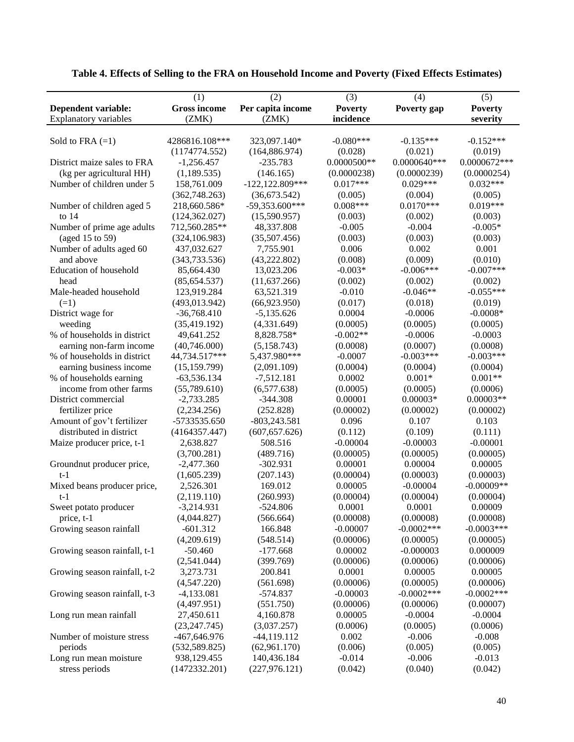| (1)<br>(2)<br>(3)<br>(4)<br>(5)<br><b>Gross income</b><br>Per capita income<br><b>Dependent variable:</b><br><b>Poverty</b><br>Poverty gap<br><b>Poverty</b><br><b>Explanatory variables</b><br>(ZMK)<br>(ZMK)<br>incidence<br>severity<br>$-0.152***$<br>323,097.140*<br>$-0.080***$<br>$-0.135***$<br>Sold to FRA $(=1)$<br>4286816.108***<br>(1174774.552)<br>(164, 886.974)<br>(0.028)<br>(0.019)<br>(0.021) |
|------------------------------------------------------------------------------------------------------------------------------------------------------------------------------------------------------------------------------------------------------------------------------------------------------------------------------------------------------------------------------------------------------------------|
|                                                                                                                                                                                                                                                                                                                                                                                                                  |
|                                                                                                                                                                                                                                                                                                                                                                                                                  |
|                                                                                                                                                                                                                                                                                                                                                                                                                  |
|                                                                                                                                                                                                                                                                                                                                                                                                                  |
|                                                                                                                                                                                                                                                                                                                                                                                                                  |
| $0.0000500**$<br>0.0000672***<br>$0.0000640***$<br>District maize sales to FRA<br>$-1,256.457$<br>$-235.783$                                                                                                                                                                                                                                                                                                     |
| (kg per agricultural HH)<br>(1,189.535)<br>(146.165)<br>(0.0000238)<br>(0.0000239)<br>(0.0000254)                                                                                                                                                                                                                                                                                                                |
| $0.017***$<br>$0.029***$<br>$0.032***$<br>Number of children under 5<br>$-122,122.809***$<br>158,761.009                                                                                                                                                                                                                                                                                                         |
| (362,748.263)<br>(36,673.542)<br>(0.005)<br>(0.004)<br>(0.005)                                                                                                                                                                                                                                                                                                                                                   |
| $0.008***$<br>$0.019***$<br>$-59,353.600***$<br>$0.0170***$<br>Number of children aged 5<br>218,660.586*                                                                                                                                                                                                                                                                                                         |
| to $14$<br>(124, 362.027)<br>(15,590.957)<br>(0.003)<br>(0.002)<br>(0.003)                                                                                                                                                                                                                                                                                                                                       |
| 712,560.285**<br>$-0.004$<br>$-0.005*$<br>Number of prime age adults<br>48,337.808<br>$-0.005$                                                                                                                                                                                                                                                                                                                   |
| (aged 15 to 59)<br>(324, 106.983)<br>(35,507.456)<br>(0.003)<br>(0.003)<br>(0.003)                                                                                                                                                                                                                                                                                                                               |
| Number of adults aged 60<br>437,032.627<br>7,755.901<br>0.006<br>0.002<br>0.001                                                                                                                                                                                                                                                                                                                                  |
| and above<br>(343, 733.536)<br>(43, 222.802)<br>(0.008)<br>(0.009)<br>(0.010)                                                                                                                                                                                                                                                                                                                                    |
| $-0.006***$<br>$-0.007***$<br>Education of household<br>85,664.430<br>13,023.206<br>$-0.003*$                                                                                                                                                                                                                                                                                                                    |
| (85, 654.537)<br>(11, 637.266)<br>(0.002)<br>(0.002)<br>(0.002)<br>head                                                                                                                                                                                                                                                                                                                                          |
| $-0.055***$<br>Male-headed household<br>123,919.284<br>63,521.319<br>$-0.010$<br>$-0.046**$                                                                                                                                                                                                                                                                                                                      |
| (66,923.950)<br>$(=1)$<br>(493, 013.942)<br>(0.017)<br>(0.018)<br>(0.019)                                                                                                                                                                                                                                                                                                                                        |
| 0.0004<br>$-36,768.410$<br>$-5,135.626$<br>$-0.0006$<br>$-0.0008*$<br>District wage for                                                                                                                                                                                                                                                                                                                          |
| (4,331.649)<br>(0.0005)<br>weeding<br>(35, 419.192)<br>(0.0005)<br>(0.0005)                                                                                                                                                                                                                                                                                                                                      |
| $-0.002**$<br>% of households in district<br>49,641.252<br>8,828.758*<br>$-0.0006$<br>$-0.0003$                                                                                                                                                                                                                                                                                                                  |
| earning non-farm income<br>(40,746.000)<br>(5,158.743)<br>(0.0008)<br>(0.0007)<br>(0.0008)                                                                                                                                                                                                                                                                                                                       |
| $-0.003***$<br>44,734.517***<br>5,437.980***<br>$-0.0007$<br>$-0.003***$<br>% of households in district                                                                                                                                                                                                                                                                                                          |
| earning business income<br>(15, 159.799)<br>(2,091.109)<br>(0.0004)<br>(0.0004)<br>(0.0004)                                                                                                                                                                                                                                                                                                                      |
| $0.001**$<br>% of households earning<br>0.0002<br>$0.001*$<br>$-63,536.134$<br>$-7,512.181$                                                                                                                                                                                                                                                                                                                      |
| income from other farms<br>(0.0005)<br>(55,789.610)<br>(6,577.638)<br>(0.0005)<br>(0.0006)                                                                                                                                                                                                                                                                                                                       |
| 0.00001<br>$0.00003*$<br>$0.00003**$<br>District commercial<br>$-2,733.285$<br>$-344.308$                                                                                                                                                                                                                                                                                                                        |
| (2,234.256)<br>(252.828)<br>(0.00002)<br>fertilizer price<br>(0.00002)<br>(0.00002)                                                                                                                                                                                                                                                                                                                              |
| Amount of gov't fertilizer<br>0.096<br>0.107<br>0.103<br>-5733535.650<br>$-803,243.581$                                                                                                                                                                                                                                                                                                                          |
| distributed in district<br>(4164357.447)<br>(607, 657.626)<br>(0.112)<br>(0.109)<br>(0.111)                                                                                                                                                                                                                                                                                                                      |
| 2,638.827<br>508.516<br>$-0.00004$<br>$-0.00003$<br>$-0.00001$<br>Maize producer price, t-1                                                                                                                                                                                                                                                                                                                      |
| (489.716)<br>(3,700.281)<br>(0.00005)<br>(0.00005)<br>(0.00005)                                                                                                                                                                                                                                                                                                                                                  |
| Groundnut producer price,<br>$-2,477.360$<br>$-302.931$<br>0.00001<br>0.00004<br>0.00005                                                                                                                                                                                                                                                                                                                         |
| (1,605.239)<br>(207.143)<br>(0.00004)<br>(0.00003)<br>(0.00003)<br>$t-1$                                                                                                                                                                                                                                                                                                                                         |
| 2,526.301<br>0.00005<br>$-0.00004$<br>$-0.00009**$<br>Mixed beans producer price,<br>169.012                                                                                                                                                                                                                                                                                                                     |
| (0.00004)<br>(0.00004)<br>(2,119.110)<br>(260.993)<br>(0.00004)<br>$t-1$                                                                                                                                                                                                                                                                                                                                         |
| $-3,214.931$<br>$-524.806$<br>0.0001<br>0.0001<br>0.00009<br>Sweet potato producer                                                                                                                                                                                                                                                                                                                               |
| (4,044.827)<br>(0.00008)<br>(0.00008)<br>(0.00008)<br>price, t-1<br>(566.664)                                                                                                                                                                                                                                                                                                                                    |
| $-0.0003***$<br>$-601.312$<br>166.848<br>$-0.00007$<br>$-0.0002$ ***<br>Growing season rainfall                                                                                                                                                                                                                                                                                                                  |
| (4,209.619)<br>(548.514)<br>(0.00006)<br>(0.00005)<br>(0.00005)                                                                                                                                                                                                                                                                                                                                                  |
| $-177.668$<br>0.00002<br>$-0.000003$<br>0.000009<br>Growing season rainfall, t-1<br>$-50.460$                                                                                                                                                                                                                                                                                                                    |
| (2,541.044)<br>(399.769)<br>(0.00006)<br>(0.00006)<br>(0.00006)                                                                                                                                                                                                                                                                                                                                                  |
| 0.0001<br>Growing season rainfall, t-2<br>3,273.731<br>200.841<br>0.00005<br>0.00005                                                                                                                                                                                                                                                                                                                             |
| (4,547.220)<br>(561.698)<br>(0.00006)<br>(0.00005)<br>(0.00006)                                                                                                                                                                                                                                                                                                                                                  |
| $-0.0002$ ***<br>$-0.0002$ ***<br>Growing season rainfall, t-3<br>$-4,133.081$<br>$-574.837$<br>$-0.00003$                                                                                                                                                                                                                                                                                                       |
| (4,497.951)<br>(551.750)<br>(0.00006)<br>(0.00006)<br>(0.00007)                                                                                                                                                                                                                                                                                                                                                  |
| 0.00005<br>$-0.0004$<br>$-0.0004$<br>Long run mean rainfall<br>27,450.611<br>4,160.878                                                                                                                                                                                                                                                                                                                           |
| (23, 247.745)<br>(3,037.257)<br>(0.0006)<br>(0.0005)<br>(0.0006)                                                                                                                                                                                                                                                                                                                                                 |
| -467,646.976<br>Number of moisture stress<br>$-44, 119.112$<br>0.002<br>$-0.006$<br>$-0.008$                                                                                                                                                                                                                                                                                                                     |
| periods<br>(532, 589.825)<br>(62,961.170)<br>(0.006)<br>(0.005)<br>(0.005)                                                                                                                                                                                                                                                                                                                                       |
| 938,129.455<br>140,436.184<br>$-0.014$<br>Long run mean moisture<br>$-0.006$<br>$-0.013$                                                                                                                                                                                                                                                                                                                         |
| (1472332.201)<br>(227, 976.121)<br>(0.042)<br>(0.040)<br>(0.042)<br>stress periods                                                                                                                                                                                                                                                                                                                               |

**Table 4. Effects of Selling to the FRA on Household Income and Poverty (Fixed Effects Estimates)**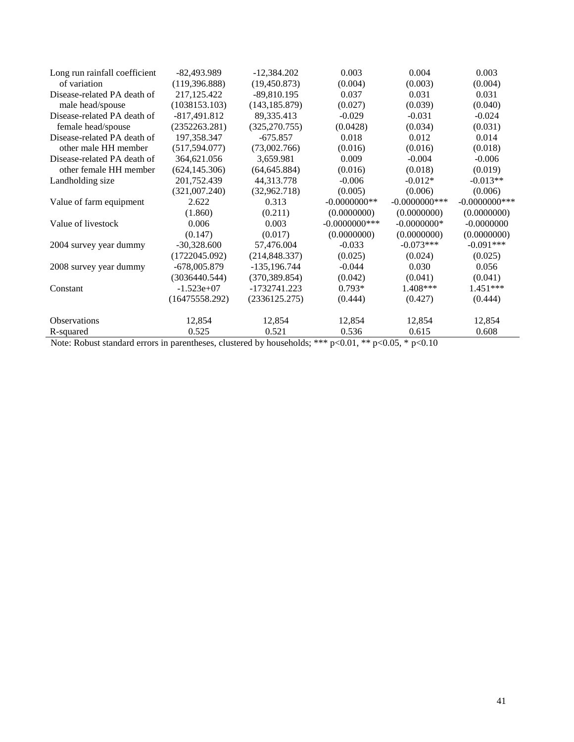| Long run rainfall coefficient | $-82,493.989$  | $-12,384.202$  | 0.003            | 0.004            | 0.003            |
|-------------------------------|----------------|----------------|------------------|------------------|------------------|
| of variation                  | (119,396.888)  | (19, 450.873)  | (0.004)          | (0.003)          | (0.004)          |
| Disease-related PA death of   | 217,125.422    | $-89,810.195$  | 0.037            | 0.031            | 0.031            |
| male head/spouse              | (1038153.103)  | (143, 185.879) | (0.027)          | (0.039)          | (0.040)          |
| Disease-related PA death of   | $-817,491.812$ | 89,335.413     | $-0.029$         | $-0.031$         | $-0.024$         |
| female head/spouse            | (2352263.281)  | (325, 270.755) | (0.0428)         | (0.034)          | (0.031)          |
| Disease-related PA death of   | 197,358.347    | $-675.857$     | 0.018            | 0.012            | 0.014            |
| other male HH member          | (517, 594.077) | (73,002.766)   | (0.016)          | (0.016)          | (0.018)          |
| Disease-related PA death of   | 364,621.056    | 3,659.981      | 0.009            | $-0.004$         | $-0.006$         |
| other female HH member        | (624, 145.306) | (64, 645.884)  | (0.016)          | (0.018)          | (0.019)          |
| Landholding size              | 201,752.439    | 44,313.778     | $-0.006$         | $-0.012*$        | $-0.013**$       |
|                               | (321,007.240)  | (32,962.718)   | (0.005)          | (0.006)          | (0.006)          |
| Value of farm equipment       | 2.622          | 0.313          | $-0.0000000**$   | $-0.0000000$ *** | $-0.0000000$ *** |
|                               | (1.860)        | (0.211)        | (0.0000000)      | (0.0000000)      | (0.0000000)      |
| Value of livestock            | 0.006          | 0.003          | $-0.0000000$ *** | $-0.0000000*$    | $-0.0000000$     |
|                               | (0.147)        | (0.017)        | (0.0000000)      | (0.0000000)      | (0.0000000)      |
| 2004 survey year dummy        | $-30,328.600$  | 57,476.004     | $-0.033$         | $-0.073***$      | $-0.091***$      |
|                               | (1722045.092)  | (214, 848.337) | (0.025)          | (0.024)          | (0.025)          |
| 2008 survey year dummy        | $-678,005.879$ | -135,196.744   | $-0.044$         | 0.030            | 0.056            |
|                               | (3036440.544)  | (370, 389.854) | (0.042)          | (0.041)          | (0.041)          |
| Constant                      | $-1.523e+07$   | -1732741.223   | $0.793*$         | 1.408***         | $1.451***$       |
|                               | (16475558.292) | (2336125.275)  | (0.444)          | (0.427)          | (0.444)          |
| <b>Observations</b>           | 12,854         | 12,854         | 12,854           | 12,854           | 12,854           |
| R-squared                     | 0.525          | 0.521          | 0.536            | 0.615            | 0.608            |

Note: Robust standard errors in parentheses, clustered by households; \*\*\*  $p<0.01$ , \*\*  $p<0.05$ , \*  $p<0.10$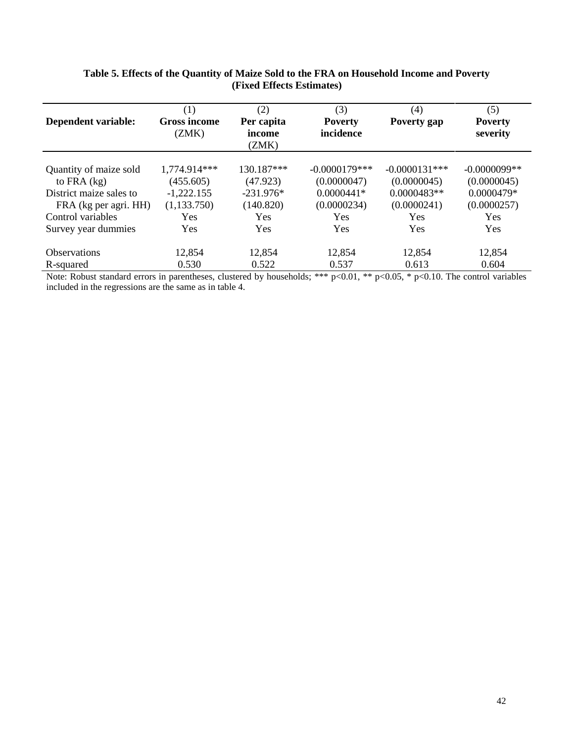| <b>Dependent variable:</b>                                                                                                                                                                                                                                                                                                                      | (1)<br><b>Gross income</b><br>(ZMK) | (2)<br>Per capita<br>income<br>(ZMK) | (3)<br><b>Poverty</b><br>incidence   | (4)<br>Poverty gap                                                     | (5)<br><b>Poverty</b><br>severity                        |
|-------------------------------------------------------------------------------------------------------------------------------------------------------------------------------------------------------------------------------------------------------------------------------------------------------------------------------------------------|-------------------------------------|--------------------------------------|--------------------------------------|------------------------------------------------------------------------|----------------------------------------------------------|
| Quantity of maize sold<br>to FRA $(kg)$                                                                                                                                                                                                                                                                                                         | 1,774.914***<br>(455.605)           | 130.187***<br>(47.923)               | $-0.0000179$ ***<br>(0.0000047)      | $-0.0000131***$<br>(0.0000045)                                         | $-0.0000099**$<br>(0.0000045)                            |
| District maize sales to                                                                                                                                                                                                                                                                                                                         | $-1,222.155$                        | $-231.976*$                          | $0.0000441*$                         | $0.0000483**$                                                          | 0.0000479*                                               |
| FRA (kg per agri. HH)<br>Control variables                                                                                                                                                                                                                                                                                                      | (1,133.750)<br><b>Yes</b>           | (140.820)<br><b>Yes</b>              | (0.0000234)<br><b>Yes</b>            | (0.0000241)<br><b>Yes</b>                                              | (0.0000257)<br><b>Yes</b>                                |
| Survey year dummies                                                                                                                                                                                                                                                                                                                             | Yes                                 | Yes                                  | <b>Yes</b>                           | Yes                                                                    | <b>Yes</b>                                               |
| <b>Observations</b>                                                                                                                                                                                                                                                                                                                             | 12,854                              | 12,854                               | 12,854                               | 12,854                                                                 | 12,854                                                   |
| R-squared<br>$\mathbf{v}$ $\mathbf{v}$ $\mathbf{v}$ $\mathbf{v}$ $\mathbf{v}$ $\mathbf{v}$ $\mathbf{v}$ $\mathbf{v}$ $\mathbf{v}$ $\mathbf{v}$ $\mathbf{v}$ $\mathbf{v}$ $\mathbf{v}$ $\mathbf{v}$ $\mathbf{v}$ $\mathbf{v}$ $\mathbf{v}$ $\mathbf{v}$ $\mathbf{v}$ $\mathbf{v}$ $\mathbf{v}$ $\mathbf{v}$ $\mathbf{v}$ $\mathbf{v}$ $\mathbf{$ | 0.530<br>$\cdot$ 1                  | 0.522<br>1111<br>111                 | 0.537<br>als als als<br>$0.01$ shake | 0.613<br>$0.10$ m<br>$\bigcap \bigcap \bigcap \bigcap \bigcup \bigcap$ | 0.604<br>$\cdot$ $\cdot$ $\cdot$<br>$\sim$ $\sim$ $\sim$ |

### **Table 5. Effects of the Quantity of Maize Sold to the FRA on Household Income and Poverty (Fixed Effects Estimates)**

Note: Robust standard errors in parentheses, clustered by households; \*\*\*  $p<0.01$ , \*\*  $p<0.05$ , \*  $p<0.10$ . The control variables included in the regressions are the same as in table 4.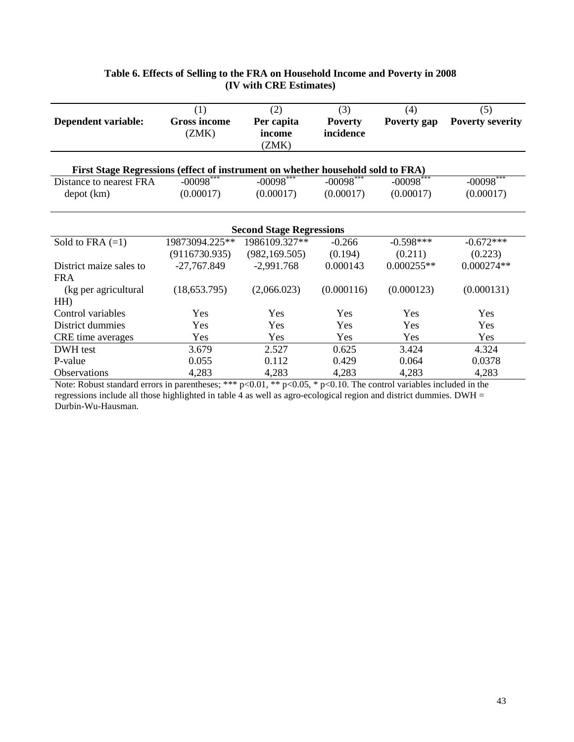|                                                                                 | (1)                 | (2)                             | (3)            | (4)          | (5)                     |
|---------------------------------------------------------------------------------|---------------------|---------------------------------|----------------|--------------|-------------------------|
| <b>Dependent variable:</b>                                                      | <b>Gross income</b> | Per capita                      | <b>Poverty</b> | Poverty gap  | <b>Poverty severity</b> |
|                                                                                 | (ZMK)               | income                          | incidence      |              |                         |
|                                                                                 |                     | (ZMK)                           |                |              |                         |
|                                                                                 |                     |                                 |                |              |                         |
| First Stage Regressions (effect of instrument on whether household sold to FRA) |                     |                                 |                |              |                         |
| Distance to nearest FRA                                                         | $-00098$ ***        | $-00098***$                     | $-00098***$    | $-00098$ *** | $-00098***$             |
| depot (km)                                                                      | (0.00017)           | (0.00017)                       | (0.00017)      | (0.00017)    | (0.00017)               |
|                                                                                 |                     |                                 |                |              |                         |
|                                                                                 |                     |                                 |                |              |                         |
|                                                                                 |                     | <b>Second Stage Regressions</b> |                |              |                         |
| Sold to FRA $(=1)$                                                              | 19873094.225**      | 1986109.327**                   | $-0.266$       | $-0.598***$  | $-0.672***$             |
|                                                                                 | (9116730.935)       | (982, 169.505)                  | (0.194)        | (0.211)      | (0.223)                 |
| District maize sales to                                                         | $-27,767.849$       | $-2,991.768$                    | 0.000143       | $0.000255**$ | $0.000274**$            |
| <b>FRA</b>                                                                      |                     |                                 |                |              |                         |
| (kg per agricultural)                                                           | (18,653.795)        | (2,066.023)                     | (0.000116)     | (0.000123)   | (0.000131)              |
| HH                                                                              |                     |                                 |                |              |                         |
| Control variables                                                               | Yes                 | Yes                             | <b>Yes</b>     | Yes          | Yes                     |
| District dummies                                                                | Yes                 | Yes                             | Yes            | Yes          | Yes                     |
| CRE time averages                                                               | Yes                 | Yes                             | Yes            | Yes          | Yes                     |
| DWH test                                                                        | 3.679               | 2.527                           | 0.625          | 3.424        | 4.324                   |
| P-value                                                                         | 0.055               | 0.112                           | 0.429          | 0.064        | 0.0378                  |
| <b>Observations</b>                                                             | 4,283               | 4,283                           | 4,283          | 4,283        | 4,283                   |

### **Table 6. Effects of Selling to the FRA on Household Income and Poverty in 2008 (IV with CRE Estimates)**

Note: Robust standard errors in parentheses; \*\*\*  $p<0.01$ , \*\*  $p<0.05$ , \*  $p<0.10$ . The control variables included in the regressions include all those highlighted in table 4 as well as agro-ecological region and district dummies. DWH = Durbin-Wu-Hausman.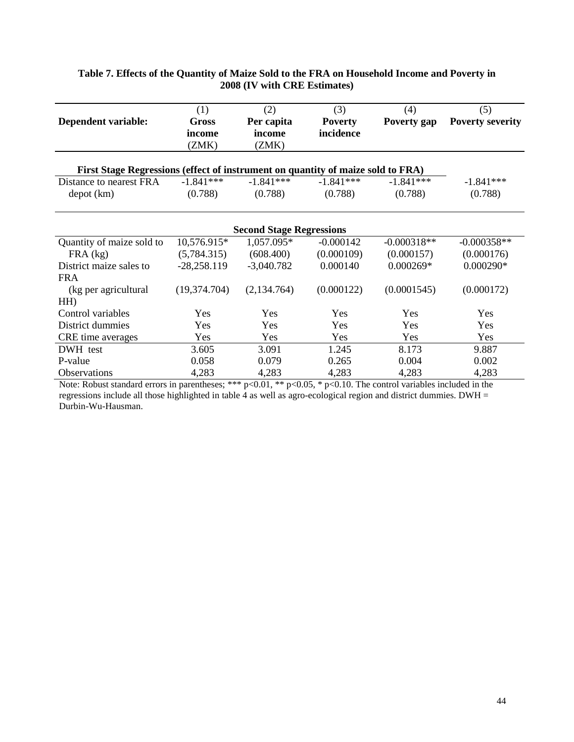|                                                                                 | (1)           | (2)                             | (3)            | (4)           | (5)                     |  |  |  |  |  |  |  |
|---------------------------------------------------------------------------------|---------------|---------------------------------|----------------|---------------|-------------------------|--|--|--|--|--|--|--|
| Dependent variable:                                                             | <b>Gross</b>  | Per capita                      | <b>Poverty</b> | Poverty gap   | <b>Poverty severity</b> |  |  |  |  |  |  |  |
|                                                                                 | income        | income                          | incidence      |               |                         |  |  |  |  |  |  |  |
|                                                                                 | (ZMK)         | (ZMK)                           |                |               |                         |  |  |  |  |  |  |  |
|                                                                                 |               |                                 |                |               |                         |  |  |  |  |  |  |  |
| First Stage Regressions (effect of instrument on quantity of maize sold to FRA) |               |                                 |                |               |                         |  |  |  |  |  |  |  |
| Distance to nearest FRA                                                         | $-1.841***$   | $-1.841***$                     | $-1.841***$    | $-1.841***$   | $-1.841***$             |  |  |  |  |  |  |  |
| depot (km)                                                                      | (0.788)       | (0.788)                         | (0.788)        | (0.788)       | (0.788)                 |  |  |  |  |  |  |  |
|                                                                                 |               |                                 |                |               |                         |  |  |  |  |  |  |  |
|                                                                                 |               |                                 |                |               |                         |  |  |  |  |  |  |  |
|                                                                                 |               | <b>Second Stage Regressions</b> |                |               |                         |  |  |  |  |  |  |  |
| Quantity of maize sold to                                                       | 10,576.915*   | 1,057.095*                      | $-0.000142$    | $-0.000318**$ | $-0.000358**$           |  |  |  |  |  |  |  |
| $FRA$ (kg)                                                                      | (5,784.315)   | (608.400)                       | (0.000109)     | (0.000157)    | (0.000176)              |  |  |  |  |  |  |  |
| District maize sales to                                                         | $-28,258.119$ | $-3,040.782$                    | 0.000140       | $0.000269*$   | $0.000290*$             |  |  |  |  |  |  |  |
| <b>FRA</b>                                                                      |               |                                 |                |               |                         |  |  |  |  |  |  |  |
| (kg per agricultural                                                            | (19,374.704)  | (2,134.764)                     | (0.000122)     | (0.0001545)   | (0.000172)              |  |  |  |  |  |  |  |
| HH                                                                              |               |                                 |                |               |                         |  |  |  |  |  |  |  |
| Control variables                                                               | Yes           | Yes                             | Yes            | Yes           | Yes                     |  |  |  |  |  |  |  |
| District dummies                                                                | Yes           | Yes                             | Yes            | Yes           | Yes                     |  |  |  |  |  |  |  |
| CRE time averages                                                               | Yes           | Yes                             | Yes            | Yes           | Yes                     |  |  |  |  |  |  |  |
| DWH test                                                                        | 3.605         | 3.091                           | 1.245          | 8.173         | 9.887                   |  |  |  |  |  |  |  |
| P-value                                                                         | 0.058         | 0.079                           | 0.265          | 0.004         | 0.002                   |  |  |  |  |  |  |  |
| <b>Observations</b>                                                             | 4,283         | 4,283                           | 4,283          | 4,283         | 4,283                   |  |  |  |  |  |  |  |

### **Table 7. Effects of the Quantity of Maize Sold to the FRA on Household Income and Poverty in 2008 (IV with CRE Estimates)**

Note: Robust standard errors in parentheses; \*\*\*  $p<0.01$ , \*\*  $p<0.05$ , \*  $p<0.10$ . The control variables included in the regressions include all those highlighted in table 4 as well as agro-ecological region and district dummies. DWH = Durbin-Wu-Hausman.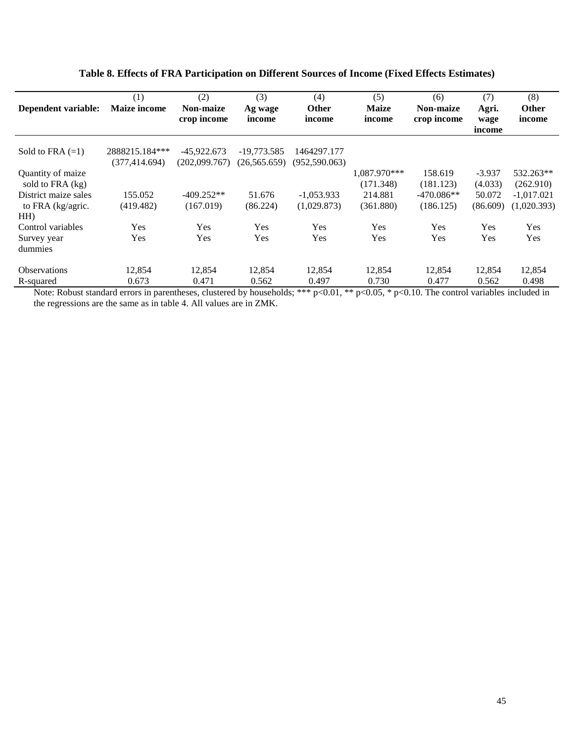|                      | (1)                 | (2)           | (3)            | (4)            | (5)          | (6)              | (7)      | (8)          |
|----------------------|---------------------|---------------|----------------|----------------|--------------|------------------|----------|--------------|
| Dependent variable:  | <b>Maize income</b> | Non-maize     | Ag wage        | <b>Other</b>   | <b>Maize</b> | <b>Non-maize</b> | Agri.    | Other        |
|                      |                     | crop income   | income         | income         | income       | crop income      | wage     | income       |
|                      |                     |               |                |                |              |                  | income   |              |
|                      |                     |               |                |                |              |                  |          |              |
| Sold to FRA $(=1)$   | 2888215.184***      | $-45,922.673$ | $-19,773.585$  | 1464297.177    |              |                  |          |              |
|                      | (377, 414.694)      | (202,099.767) | (26, 565, 659) | (952, 590.063) |              |                  |          |              |
| Quantity of maize    |                     |               |                |                | 1,087.970*** | 158.619          | $-3.937$ | 532.263**    |
| sold to FRA (kg)     |                     |               |                |                | (171.348)    | (181.123)        | (4.033)  | (262.910)    |
| District maize sales | 155.052             | $-409.252**$  | 51.676         | $-1,053.933$   | 214.881      | $-470.086**$     | 50.072   | $-1,017.021$ |
| to FRA (kg/agric.    | (419.482)           | (167.019)     | (86.224)       | (1,029.873)    | (361.880)    | (186.125)        | (86.609) | (1,020.393)  |
| HH                   |                     |               |                |                |              |                  |          |              |
| Control variables    | Yes                 | Yes           | Yes            | Yes            | Yes          | Yes              | Yes      | Yes          |
| Survey year          | Yes                 | Yes           | Yes            | Yes            | Yes          | Yes              | Yes      | Yes          |
| dummies              |                     |               |                |                |              |                  |          |              |
| <b>Observations</b>  | 12,854              | 12,854        | 12,854         | 12,854         | 12,854       | 12,854           | 12,854   | 12,854       |
| R-squared            | 0.673               | 0.471         | 0.562          | 0.497          | 0.730        | 0.477            | 0.562    | 0.498        |

### **Table 8. Effects of FRA Participation on Different Sources of Income (Fixed Effects Estimates)**

Note: Robust standard errors in parentheses, clustered by households; \*\*\* p<0.01, \*\* p<0.05, \* p<0.10. The control variables included in the regressions are the same as in table 4. All values are in ZMK.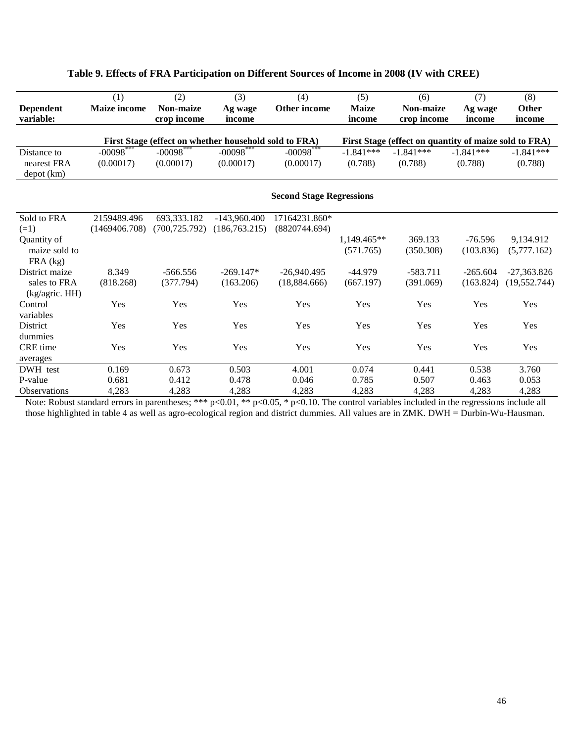|                     | (1)                   | (2)                   | (3)                                                   | (4)                             | (5)           | (6)                                                   | (7)         | (8)           |
|---------------------|-----------------------|-----------------------|-------------------------------------------------------|---------------------------------|---------------|-------------------------------------------------------|-------------|---------------|
| <b>Dependent</b>    | <b>Maize income</b>   | <b>Non-maize</b>      | Ag wage                                               | Other income                    | <b>Maize</b>  | <b>Non-maize</b>                                      | Ag wage     | <b>Other</b>  |
| variable:           |                       | crop income           | income                                                |                                 | income        | crop income                                           | income      | income        |
|                     |                       |                       |                                                       |                                 |               |                                                       |             |               |
|                     | $-00098$ <sup>*</sup> |                       | First Stage (effect on whether household sold to FRA) | $-00098$ <sup>*</sup>           |               | First Stage (effect on quantity of maize sold to FRA) |             |               |
| Distance to         |                       | $-00098$ <sup>*</sup> | $-00098$ <sup>*</sup>                                 |                                 | $-1.841***$   | $-1.841***$                                           | $-1.841***$ | $-1.841***$   |
| nearest FRA         | (0.00017)             | (0.00017)             | (0.00017)                                             | (0.00017)                       | (0.788)       | (0.788)                                               | (0.788)     | (0.788)       |
| depot (km)          |                       |                       |                                                       |                                 |               |                                                       |             |               |
|                     |                       |                       |                                                       | <b>Second Stage Regressions</b> |               |                                                       |             |               |
|                     |                       |                       |                                                       |                                 |               |                                                       |             |               |
| Sold to FRA         | 2159489.496           | 693,333.182           | $-143.960.400$                                        | 17164231.860*                   |               |                                                       |             |               |
| $(=1)$              | (1469406.708)         | (700.725.792)         | (186,763.215)                                         | (8820744.694)                   |               |                                                       |             |               |
| Quantity of         |                       |                       |                                                       |                                 | $1.149.465**$ | 369.133                                               | $-76.596$   | 9,134.912     |
| maize sold to       |                       |                       |                                                       |                                 | (571.765)     | (350.308)                                             | (103.836)   | (5,777.162)   |
| $FRA$ (kg)          |                       |                       |                                                       |                                 |               |                                                       |             |               |
| District maize      | 8.349                 | $-566.556$            | $-269.147*$                                           | $-26,940.495$                   | $-44.979$     | $-583.711$                                            | $-265.604$  | $-27,363.826$ |
| sales to FRA        | (818.268)             | (377.794)             | (163.206)                                             | (18.884.666)                    | (667.197)     | (391.069)                                             | (163.824)   | (19, 552.744) |
| (kg/agric. HH)      |                       |                       |                                                       |                                 |               |                                                       |             |               |
| Control             | Yes                   | Yes                   | Yes                                                   | Yes                             | Yes           | Yes                                                   | Yes         | Yes           |
| variables           |                       |                       |                                                       |                                 |               |                                                       |             |               |
| District            | Yes                   | Yes                   | Yes                                                   | Yes                             | Yes           | Yes                                                   | Yes         | Yes           |
| dummies             |                       |                       |                                                       |                                 |               |                                                       |             |               |
| <b>CRE</b> time     | Yes                   | Yes                   | Yes                                                   | Yes                             | Yes           | Yes                                                   | Yes         | Yes           |
| averages            |                       |                       |                                                       |                                 |               |                                                       |             |               |
| DWH test            | 0.169                 | 0.673                 | 0.503                                                 | 4.001                           | 0.074         | 0.441                                                 | 0.538       | 3.760         |
| P-value             | 0.681                 | 0.412                 | 0.478                                                 | 0.046                           | 0.785         | 0.507                                                 | 0.463       | 0.053         |
| <b>Observations</b> | 4,283                 | 4,283                 | 4,283                                                 | 4,283                           | 4,283         | 4,283                                                 | 4,283       | 4,283         |

### **Table 9. Effects of FRA Participation on Different Sources of Income in 2008 (IV with CREE)**

Note: Robust standard errors in parentheses; \*\*\* p<0.01, \*\* p<0.05, \* p<0.10. The control variables included in the regressions include all those highlighted in table 4 as well as agro-ecological region and district dummies. All values are in ZMK. DWH = Durbin-Wu-Hausman.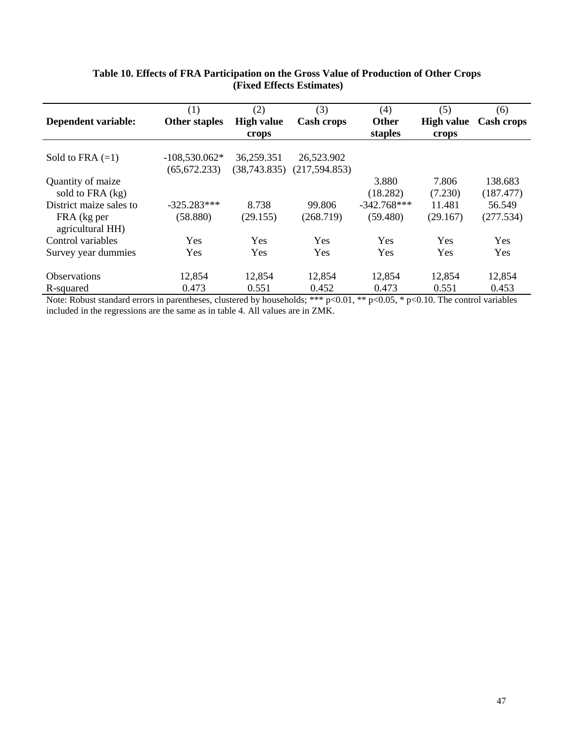|                                 | (1)                  | (2)               | (3)               | (4)           | (5)               | (6)        |
|---------------------------------|----------------------|-------------------|-------------------|---------------|-------------------|------------|
| Dependent variable:             | <b>Other staples</b> | <b>High value</b> | <b>Cash crops</b> | <b>Other</b>  | <b>High value</b> | Cash crops |
|                                 |                      | crops             |                   | staples       | crops             |            |
| Sold to FRA $(=1)$              | $-108,530.062*$      | 36,259.351        | 26,523.902        |               |                   |            |
|                                 | (65, 672.233)        | (38,743.835)      | (217, 594.853)    |               |                   |            |
| Quantity of maize               |                      |                   |                   | 3.880         | 7.806             | 138.683    |
| sold to FRA (kg)                |                      |                   |                   | (18.282)      | (7.230)           | (187.477)  |
| District maize sales to         | $-325.283***$        | 8.738             | 99.806            | $-342.768***$ | 11.481            | 56.549     |
| FRA (kg per<br>agricultural HH) | (58.880)             | (29.155)          | (268.719)         | (59.480)      | (29.167)          | (277.534)  |
| Control variables               | Yes                  | Yes               | Yes               | Yes           | Yes               | Yes        |
| Survey year dummies             | Yes                  | Yes               | Yes               | Yes           | Yes               | <b>Yes</b> |
| <b>Observations</b>             | 12,854               | 12,854            | 12,854            | 12,854        | 12,854            | 12,854     |
| R-squared                       | 0.473                | 0.551             | 0.452             | 0.473         | 0.551             | 0.453      |

### **Table 10. Effects of FRA Participation on the Gross Value of Production of Other Crops (Fixed Effects Estimates)**

Note: Robust standard errors in parentheses, clustered by households; \*\*\*  $p<0.01$ , \*\*  $p<0.05$ , \*  $p<0.10$ . The control variables included in the regressions are the same as in table 4. All values are in ZMK.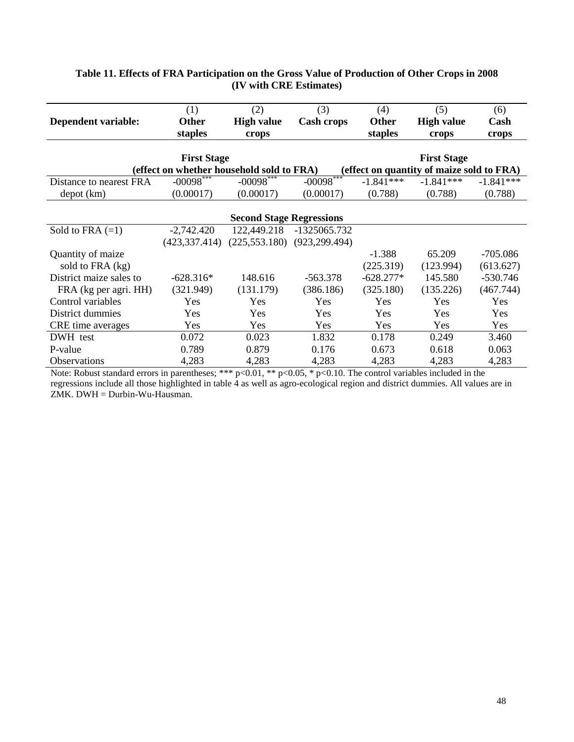|                         | (1)                                       | (2)                             | (3)               | (4)          | (5)                                       | (6)         |
|-------------------------|-------------------------------------------|---------------------------------|-------------------|--------------|-------------------------------------------|-------------|
| Dependent variable:     | <b>Other</b>                              | <b>High value</b>               | <b>Cash crops</b> | <b>Other</b> | <b>High value</b>                         | Cash        |
|                         | staples                                   | crops                           |                   | staples      | crops                                     | crops       |
|                         |                                           |                                 |                   |              |                                           |             |
|                         | <b>First Stage</b>                        |                                 |                   |              | <b>First Stage</b>                        |             |
|                         | (effect on whether household sold to FRA) |                                 |                   |              | (effect on quantity of maize sold to FRA) |             |
| Distance to nearest FRA | $-00098$ ***                              | $-00098$ ***                    | $-00098***$       | $-1.841***$  | $-1.841***$                               | $-1.841***$ |
| depot (km)              | (0.00017)                                 | (0.00017)                       | (0.00017)         | (0.788)      | (0.788)                                   | (0.788)     |
|                         |                                           |                                 |                   |              |                                           |             |
|                         |                                           | <b>Second Stage Regressions</b> |                   |              |                                           |             |
| Sold to FRA $(=1)$      | $-2,742.420$                              | 122,449.218                     | -1325065.732      |              |                                           |             |
|                         | (423, 337.414)                            | (225, 553.180)                  | (923, 299.494)    |              |                                           |             |
| Quantity of maize       |                                           |                                 |                   | $-1.388$     | 65.209                                    | $-705.086$  |
| sold to FRA (kg)        |                                           |                                 |                   | (225.319)    | (123.994)                                 | (613.627)   |
| District maize sales to | $-628.316*$                               | 148.616                         | $-563.378$        | $-628.277*$  | 145.580                                   | $-530.746$  |
| FRA (kg per agri. HH)   | (321.949)                                 | (131.179)                       | (386.186)         | (325.180)    | (135.226)                                 | (467.744)   |
| Control variables       | Yes                                       | Yes                             | Yes               | Yes          | Yes                                       | Yes         |
| District dummies        | Yes                                       | Yes                             | Yes               | Yes          | Yes                                       | Yes         |
| CRE time averages       | Yes                                       | Yes                             | Yes               | Yes          | Yes                                       | Yes         |
| DWH test                | 0.072                                     | 0.023                           | 1.832             | 0.178        | 0.249                                     | 3.460       |
| P-value                 | 0.789                                     | 0.879                           | 0.176             | 0.673        | 0.618                                     | 0.063       |
| <b>Observations</b>     | 4,283                                     | 4,283                           | 4,283             | 4,283        | 4,283                                     | 4,283       |

### **Table 11. Effects of FRA Participation on the Gross Value of Production of Other Crops in 2008 (IV with CRE Estimates)**

Note: Robust standard errors in parentheses; \*\*\*  $p<0.01$ , \*\*  $p<0.05$ , \*  $p<0.10$ . The control variables included in the regressions include all those highlighted in table 4 as well as agro-ecological region and district dummies. All values are in ZMK. DWH = Durbin-Wu-Hausman.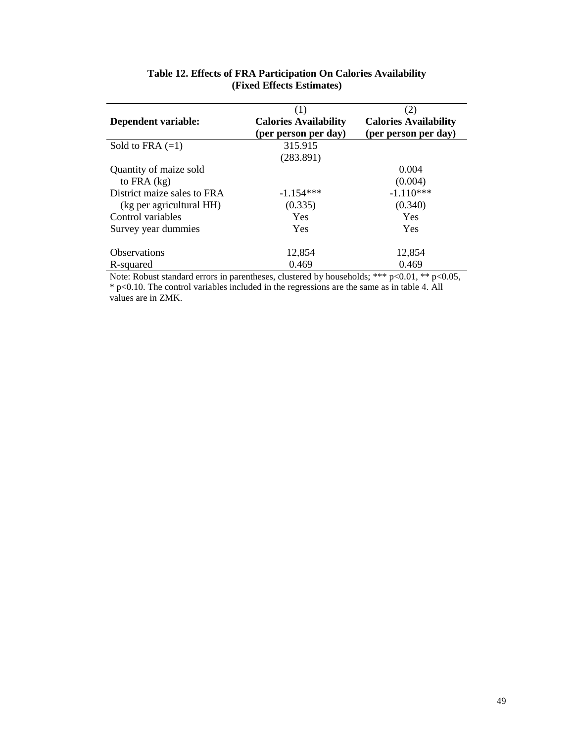| Dependent variable:                                     | (1)<br><b>Calories Availability</b><br>(per person per day) | (2)<br><b>Calories Availability</b><br>(per person per day) |
|---------------------------------------------------------|-------------------------------------------------------------|-------------------------------------------------------------|
| Sold to FRA $(=1)$                                      | 315.915<br>(283.891)                                        |                                                             |
| Quantity of maize sold<br>to FRA $(kg)$                 |                                                             | 0.004<br>(0.004)                                            |
| District maize sales to FRA<br>(kg per agricultural HH) | $-1.154***$<br>(0.335)                                      | $-1.110***$<br>(0.340)                                      |
| Control variables                                       | Yes                                                         | Yes                                                         |
| Survey year dummies                                     | Yes                                                         | Yes                                                         |
| <b>Observations</b>                                     | 12,854                                                      | 12,854                                                      |
| R-squared                                               | 0.469                                                       | 0.469                                                       |

### **Table 12. Effects of FRA Participation On Calories Availability (Fixed Effects Estimates)**

Note: Robust standard errors in parentheses, clustered by households; \*\*\*  $p<0.01$ , \*\*  $p<0.05$ , \* p<0.10. The control variables included in the regressions are the same as in table 4. All values are in ZMK.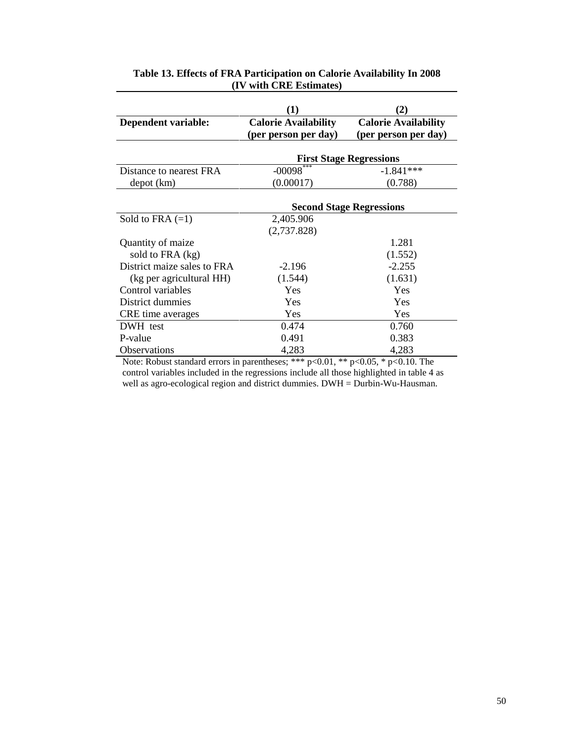|                             | $\bf(1)$                                            | $\mathbf{2}$                                        |  |
|-----------------------------|-----------------------------------------------------|-----------------------------------------------------|--|
| Dependent variable:         | <b>Calorie Availability</b><br>(per person per day) | <b>Calorie Availability</b><br>(per person per day) |  |
|                             | <b>First Stage Regressions</b>                      |                                                     |  |
| Distance to nearest FRA     | $-00098$                                            | $-1.841***$                                         |  |
| depot (km)                  | (0.00017)                                           | (0.788)                                             |  |
|                             | <b>Second Stage Regressions</b>                     |                                                     |  |
| Sold to FRA $(=1)$          | 2,405.906                                           |                                                     |  |
|                             | (2,737.828)                                         |                                                     |  |
| Quantity of maize           |                                                     | 1.281                                               |  |
| sold to FRA (kg)            |                                                     | (1.552)                                             |  |
| District maize sales to FRA | $-2.196$                                            | $-2.255$                                            |  |
| (kg per agricultural HH)    | (1.544)                                             | (1.631)                                             |  |
| Control variables           | Yes                                                 | Yes                                                 |  |
| District dummies            | Yes                                                 | Yes                                                 |  |
| CRE time averages           | <b>Yes</b>                                          | Yes                                                 |  |
| DWH test                    | 0.474                                               | 0.760                                               |  |
| P-value                     | 0.491                                               | 0.383                                               |  |
| <b>Observations</b>         | 4,283                                               | 4,283                                               |  |

#### **Table 13. Effects of FRA Participation on Calorie Availability In 2008 (IV with CRE Estimates)**

Note: Robust standard errors in parentheses; \*\*\* p<0.01, \*\* p<0.05, \* p<0.10. The control variables included in the regressions include all those highlighted in table 4 as well as agro-ecological region and district dummies. DWH = Durbin-Wu-Hausman.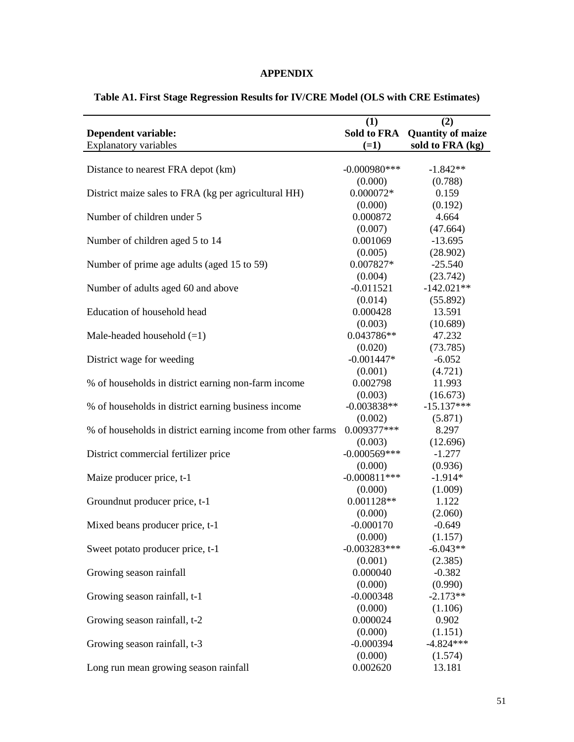### **APPENDIX**

|                                                             | (1)                    | (2)                      |
|-------------------------------------------------------------|------------------------|--------------------------|
| <b>Dependent variable:</b>                                  | Sold to FRA            | <b>Quantity of maize</b> |
| <b>Explanatory variables</b>                                | $(=1)$                 | sold to FRA (kg)         |
|                                                             |                        |                          |
| Distance to nearest FRA depot (km)                          | $-0.000980$ ***        | $-1.842**$               |
|                                                             | (0.000)                | (0.788)                  |
| District maize sales to FRA (kg per agricultural HH)        | 0.000072*              | 0.159                    |
|                                                             | (0.000)                | (0.192)                  |
| Number of children under 5                                  | 0.000872               | 4.664                    |
|                                                             | (0.007)                | (47.664)                 |
| Number of children aged 5 to 14                             | 0.001069               | $-13.695$                |
|                                                             | (0.005)                | (28.902)                 |
| Number of prime age adults (aged 15 to 59)                  | 0.007827*              | $-25.540$                |
|                                                             | (0.004)                | (23.742)                 |
| Number of adults aged 60 and above                          | $-0.011521$            | $-142.021**$             |
|                                                             | (0.014)                | (55.892)                 |
| Education of household head                                 | 0.000428               | 13.591                   |
|                                                             | (0.003)                | (10.689)                 |
| Male-headed household $(=1)$                                | 0.043786**             | 47.232                   |
|                                                             | (0.020)                | (73.785)                 |
| District wage for weeding                                   | $-0.001447*$           | $-6.052$                 |
|                                                             | (0.001)                | (4.721)                  |
| % of households in district earning non-farm income         | 0.002798               | 11.993                   |
|                                                             | (0.003)                | (16.673)                 |
| % of households in district earning business income         | $-0.003838**$          | $-15.137***$             |
|                                                             | (0.002)<br>0.009377*** | (5.871)<br>8.297         |
| % of households in district earning income from other farms | (0.003)                | (12.696)                 |
| District commercial fertilizer price                        | $-0.000569***$         | $-1.277$                 |
|                                                             | (0.000)                | (0.936)                  |
| Maize producer price, t-1                                   | $-0.000811***$         | $-1.914*$                |
|                                                             | (0.000)                | (1.009)                  |
| Groundnut producer price, t-1                               | $0.001128**$           | 1.122                    |
|                                                             | (0.000)                | (2.060)                  |
| Mixed beans producer price, t-1                             | $-0.000170$            | $-0.649$                 |
|                                                             | (0.000)                | (1.157)                  |
| Sweet potato producer price, t-1                            | $-0.003283***$         | $-6.043**$               |
|                                                             | (0.001)                | (2.385)                  |
| Growing season rainfall                                     | 0.000040               | $-0.382$                 |
|                                                             | (0.000)                | (0.990)                  |
| Growing season rainfall, t-1                                | $-0.000348$            | $-2.173**$               |
|                                                             | (0.000)                | (1.106)                  |
| Growing season rainfall, t-2                                | 0.000024               | 0.902                    |
|                                                             | (0.000)                | (1.151)                  |
| Growing season rainfall, t-3                                | $-0.000394$            | $-4.824***$              |
|                                                             | (0.000)                | (1.574)                  |
| Long run mean growing season rainfall                       | 0.002620               | 13.181                   |

### **Table A1. First Stage Regression Results for IV/CRE Model (OLS with CRE Estimates)**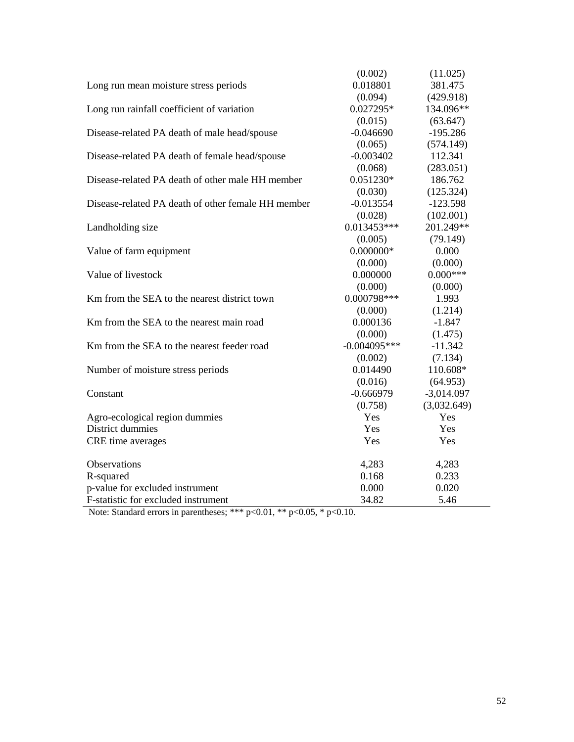|                                                    | (0.002)        | (11.025)     |
|----------------------------------------------------|----------------|--------------|
| Long run mean moisture stress periods              | 0.018801       | 381.475      |
|                                                    | (0.094)        | (429.918)    |
| Long run rainfall coefficient of variation         | $0.027295*$    | 134.096**    |
|                                                    | (0.015)        | (63.647)     |
| Disease-related PA death of male head/spouse       | $-0.046690$    | $-195.286$   |
|                                                    | (0.065)        | (574.149)    |
| Disease-related PA death of female head/spouse     | $-0.003402$    | 112.341      |
|                                                    | (0.068)        | (283.051)    |
| Disease-related PA death of other male HH member   | 0.051230*      | 186.762      |
|                                                    | (0.030)        | (125.324)    |
| Disease-related PA death of other female HH member | $-0.013554$    | $-123.598$   |
|                                                    | (0.028)        | (102.001)    |
| Landholding size                                   | $0.013453***$  | 201.249**    |
|                                                    | (0.005)        | (79.149)     |
| Value of farm equipment                            | $0.000000*$    | 0.000        |
|                                                    | (0.000)        | (0.000)      |
| Value of livestock                                 | 0.000000       | $0.000***$   |
|                                                    | (0.000)        | (0.000)      |
| Km from the SEA to the nearest district town       | 0.000798***    | 1.993        |
|                                                    | (0.000)        | (1.214)      |
| Km from the SEA to the nearest main road           | 0.000136       | $-1.847$     |
|                                                    | (0.000)        | (1.475)      |
| Km from the SEA to the nearest feeder road         | $-0.004095***$ | $-11.342$    |
|                                                    | (0.002)        | (7.134)      |
| Number of moisture stress periods                  | 0.014490       | 110.608*     |
|                                                    | (0.016)        | (64.953)     |
| Constant                                           | $-0.666979$    | $-3,014.097$ |
|                                                    | (0.758)        | (3,032.649)  |
| Agro-ecological region dummies                     | Yes            | Yes          |
| District dummies                                   | Yes            | Yes          |
| CRE time averages                                  | Yes            | Yes          |
| Observations                                       | 4,283          | 4,283        |
| R-squared                                          | 0.168          | 0.233        |
| p-value for excluded instrument                    | 0.000          | 0.020        |
| F-statistic for excluded instrument                | 34.82          | 5.46         |

Note: Standard errors in parentheses; \*\*\* p<0.01, \*\* p<0.05, \* p<0.10.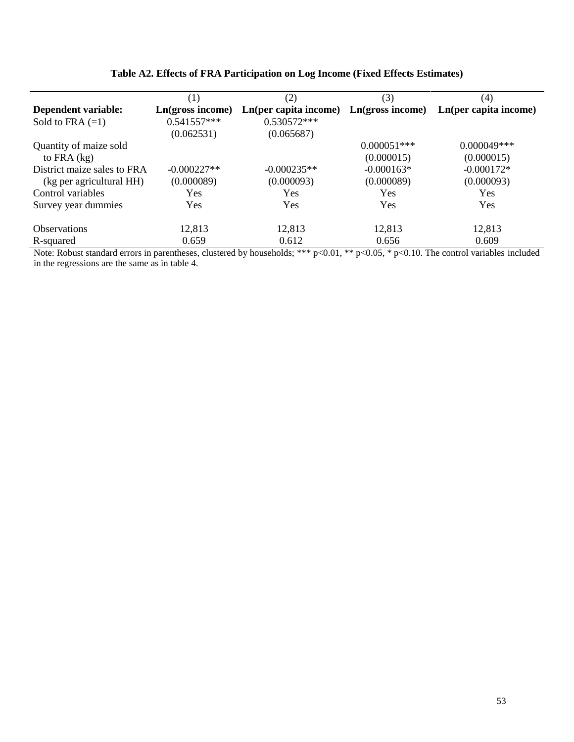|                             | (1)              | (2)                   | (3)              | (4)                   |
|-----------------------------|------------------|-----------------------|------------------|-----------------------|
| Dependent variable:         | Ln(gross income) | Ln(per capita income) | Ln(gross income) | Ln(per capita income) |
| Sold to FRA $(=1)$          | $0.541557***$    | $0.530572***$         |                  |                       |
|                             | (0.062531)       | (0.065687)            |                  |                       |
| Quantity of maize sold      |                  |                       | $0.000051$ ***   | $0.000049***$         |
| to FRA $(kg)$               |                  |                       | (0.000015)       | (0.000015)            |
| District maize sales to FRA | $-0.000227**$    | $-0.000235**$         | $-0.000163*$     | $-0.000172*$          |
| (kg per agricultural HH)    | (0.000089)       | (0.000093)            | (0.000089)       | (0.000093)            |
| Control variables           | Yes              | Yes                   | Yes              | <b>Yes</b>            |
| Survey year dummies         | Yes              | Yes                   | Yes              | Yes                   |
|                             |                  |                       |                  |                       |
| <b>Observations</b>         | 12,813           | 12,813                | 12,813           | 12,813                |
| R-squared                   | 0.659            | 0.612                 | 0.656            | 0.609                 |

### **Table A2. Effects of FRA Participation on Log Income (Fixed Effects Estimates)**

Note: Robust standard errors in parentheses, clustered by households; \*\*\* p<0.01, \*\* p<0.05, \* p<0.10. The control variables included in the regressions are the same as in table 4.